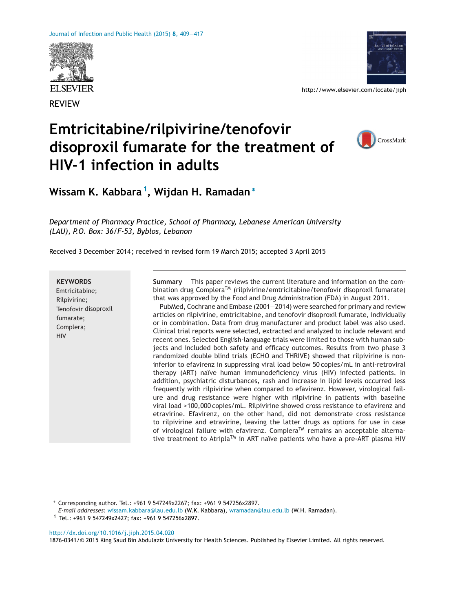



http://www.elsevier.com/locate/jiph

# **Emtricitabine/rilpivirine/tenofovir disoproxil fumarate for the treatment of HIV-1 infection in adults**



**Wissam K. Kabbara 1, Wijdan H. Ramadan<sup>∗</sup>**

*Department of Pharmacy Practice, School of Pharmacy, Lebanese American University (LAU), P.O. Box: 36/F-53, Byblos, Lebanon*

Received 3 December 2014 ; received in revised form 19 March 2015; accepted 3 April 2015

#### **KEYWORDS**

Emtricitabine; Rilpivirine; Tenofovir disoproxil fumarate; Complera; HIV

**Summary** This paper reviews the current literature and information on the combination drug Complera™ (rilpivirine/emtricitabine/tenofovir disoproxil fumarate) that was approved by the Food and Drug Administration (FDA) in August 2011.

PubMed, Cochrane and Embase (2001—2014) were searched for primary and review articles on rilpivirine, emtricitabine, and tenofovir disoproxil fumarate, individually or in combination. Data from drug manufacturer and product label was also used. Clinical trial reports were selected, extracted and analyzed to include relevant and recent ones. Selected English-language trials were limited to those with human subjects and included both safety and efficacy outcomes. Results from two phase 3 randomized double blind trials (ECHO and THRIVE) showed that rilpivirine is noninferior to efavirenz in suppressing viral load below 50 copies/mL in anti-retroviral therapy (ART) naïve human immunodeficiency virus (HIV) infected patients. In addition, psychiatric disturbances, rash and increase in lipid levels occurred less frequently with rilpivirine when compared to efavirenz. However, virological failure and drug resistance were higher with rilpivirine in patients with baseline viral load >100,000 copies/mL. Rilpivirine showed cross resistance to efavirenz and etravirine. Efavirenz, on the other hand, did not demonstrate cross resistance to rilpivirine and etravirine, leaving the latter drugs as options for use in case of virological failure with efavirenz. Complera<sup>TM</sup> remains an acceptable alternative treatment to Atripla<sup>TM</sup> in ART naïve patients who have a pre-ART plasma HIV

[http://dx.doi.org/10.1016/j.jiph.2015.04.020](dx.doi.org/10.1016/j.jiph.2015.04.020)

1876-0341/© 2015 King Saud Bin Abdulaziz University for Health Sciences. Published by Elsevier Limited. All rights reserved.

<sup>∗</sup> Corresponding author. Tel.: +961 9 547249x2267; fax: +961 9 547256x2897.

*E-mail addresses:* [wissam.kabbara@lau.edu.lb](mailto:wissam.kabbara@lau.edu.lb) (W.K. Kabbara), [wramadan@lau.edu.lb](mailto:wramadan@lau.edu.lb) (W.H. Ramadan).

 $1$  Tel.: +961 9 547249x2427; fax: +961 9 547256x2897.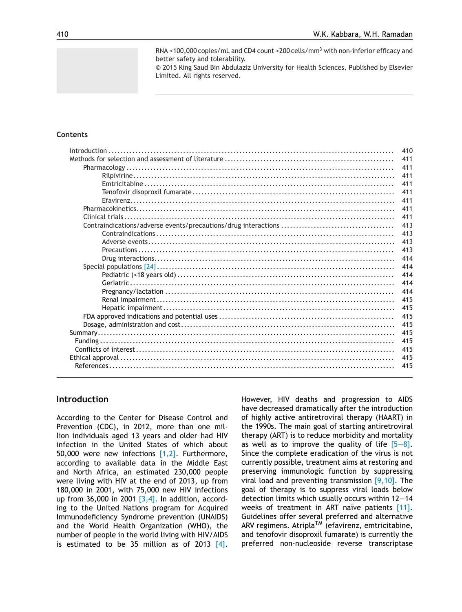RNA <100,000 copies/mL and CD4 count >200 cells/mm<sup>3</sup> with non-inferior efficacy and better safety and tolerability.

© 2015 King Saud Bin Abdulaziz University for Health Sciences. Published by Elsevier Limited. All rights reserved.

## **Contents**

| 410 |
|-----|
| 411 |
| 411 |
| 411 |
| 411 |
| 411 |
| 411 |
| 411 |
| 411 |
| 413 |
| 413 |
| 413 |
| 413 |
| 414 |
| 414 |
| 414 |
| 414 |
| 414 |
| 415 |
| 415 |
| 415 |
| 415 |
| 415 |
| 415 |
| 415 |
| 415 |
| 415 |
|     |

# **Introduction**

According to the Center for Disease Control and Prevention (CDC), in 2012, more than one million individuals aged 13 years and older had HIV infection in the United States of which about 50,000 were new infections  $[1,2]$ . Furthermore, according to available data in the Middle East and North Africa, an estimated 230,000 people were living with HIV at the end of 2013, up from 180,000 in 2001, with 75,000 new HIV infections up from 36,000 in 2001  $[3,4]$ . In addition, according to the United Nations program for Acquired Immunodeficiency Syndrome prevention (UNAIDS) and the World Health Organization (WHO), the number of people in the world living with HIV/AIDS is estimated to be 35 million as of 2013  $[4]$ .

However, HIV deaths and progression to AIDS have decreased dramatically after the introduction of highly active antiretroviral therapy (HAART) in the 1990s. The main goal of starting antiretroviral therapy (ART) is to reduce morbidity and mortality as well as to improve the quality of life  $[5-8]$ . Since the complete eradication of the virus is not currently possible, treatment aims at restoring and preserving immunologic function by suppressing viral load and preventing transmission [\[9,10\].](#page-6-0) The goal of therapy is to suppress viral loads below detection limits which usually occurs within 12—14 weeks of treatment in ART naïve patients [\[11\].](#page-7-0) Guidelines offer several preferred and alternative ARV regimens. Atripla<sup>TM</sup> (efavirenz, emtricitabine, and tenofovir disoproxil fumarate) is currently the preferred non-nucleoside reverse transcriptase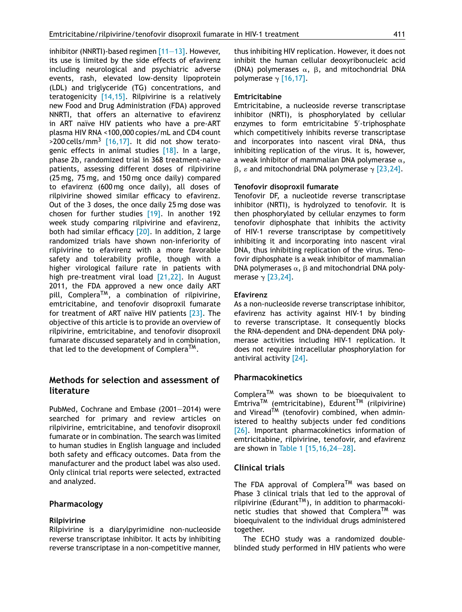inhibitor (NNRTI)-based regimen [\[11—13\].](#page-7-0) However, its use is limited by the side effects of efavirenz including neurological and psychiatric adverse events, rash, elevated low-density lipoprotein (LDL) and triglyceride (TG) concentrations, and teratogenicity  $[14,15]$ . Rilpivirine is a relatively new Food and Drug Administration (FDA) approved NNRTI, that offers an alternative to efavirenz in ART naïve HIV patients who have a pre-ART plasma HIV RNA <100,000 copies/mL and CD4 count  $>$ 200 cells/mm<sup>3</sup> [\[16,17\].](#page-7-0) It did not show teratogenic effects in animal studies  $[18]$ . In a large, phase 2b, randomized trial in 368 treatment-naive patients, assessing different doses of rilpivirine (25 mg, 75 mg, and 150 mg once daily) compared to efavirenz (600 mg once daily), all doses of rilpivirine showed similar efficacy to efavirenz. Out of the 3 doses, the once daily 25 mg dose was chosen for further studies [\[19\].](#page-7-0) In another 192 week study comparing rilpivirine and efavirenz, both had similar efficacy [\[20\].](#page-7-0) In addition, 2 large randomized trials have shown non-inferiority of rilpivirine to efavirenz with a more favorable safety and tolerability profile, though with a higher virological failure rate in patients with high pre-treatment viral load [\[21,22\].](#page-7-0) In August 2011, the FDA approved a new once daily ART pill, CompleraTM, a combination of rilpivirine, emtricitabine, and tenofovir disoproxil fumarate for treatment of ART naïve HIV patients [\[23\].](#page-7-0) The objective of this article is to provide an overview of rilpivirine, emtricitabine, and tenofovir disoproxil fumarate discussed separately and in combination, that led to the development of Complera<sup>TM</sup>.

# **Methods for selection and assessment of literature**

PubMed, Cochrane and Embase (2001—2014) were searched for primary and review articles on rilpivirine, emtricitabine, and tenofovir disoproxil fumarate or in combination. The search was limited to human studies in English language and included both safety and efficacy outcomes. Data from the manufacturer and the product label was also used. Only clinical trial reports were selected, extracted and analyzed.

# **Pharmacology**

## **Rilpivirine**

Rilpivirine is a diarylpyrimidine non-nucleoside reverse transcriptase inhibitor. It acts by inhibiting reverse transcriptase in a non-competitive manner, thus inhibiting HIV replication. However, it does not inhibit the human cellular deoxyribonucleic acid (DNA) polymerases  $\alpha$ ,  $\beta$ , and mitochondrial DNA polymerase  $\gamma$  [\[16,17\].](#page-7-0)

## **Emtricitabine**

Emtricitabine, a nucleoside reverse transcriptase inhibitor (NRTI), is phosphorylated by cellular enzymes to form emtricitabine 5 -triphosphate which competitively inhibits reverse transcriptase and incorporates into nascent viral DNA, thus inhibiting replication of the virus. It is, however, a weak inhibitor of mammalian DNA polymerase  $\alpha,$  $\beta$ ,  $\varepsilon$  and mitochondrial DNA polymerase  $\gamma$  [\[23,24\].](#page-7-0)

## **Tenofovir disoproxil fumarate**

Tenofovir DF, a nucleotide reverse transcriptase inhibitor (NRTI), is hydrolyzed to tenofovir. It is then phosphorylated by cellular enzymes to form tenofovir diphosphate that inhibits the activity of HIV-1 reverse transcriptase by competitively inhibiting it and incorporating into nascent viral DNA, thus inhibiting replication of the virus. Tenofovir diphosphate is a weak inhibitor of mammalian DNA polymerases  $\alpha$ ,  $\beta$  and mitochondrial DNA polymerase  $\gamma$  [\[23,24\].](#page-7-0)

## **Efavirenz**

As a non-nucleoside reverse transcriptase inhibitor, efavirenz has activity against HIV-1 by binding to reverse transcriptase. It consequently blocks the RNA-dependent and DNA-dependent DNA polymerase activities including HIV-1 replication. It does not require intracellular phosphorylation for antiviral activity [\[24\].](#page-7-0)

# **Pharmacokinetics**

Complera<sup>TM</sup> was shown to be bioequivalent to  $Emtriva<sup>TM</sup>$  (emtricitabine), Edurent<sup>TM</sup> (rilpivirine) and Viread<sup>TM</sup> (tenofovir) combined, when administered to healthy subjects under fed conditions [\[26\].](#page-7-0) Important pharmacokinetics information of emtricitabine, rilpivirine, tenofovir, and efavirenz are shown in [Table](#page-3-0) 1 [\[15,16,24—28\].](#page-7-0)

# **Clinical trials**

The FDA approval of Complera<sup>TM</sup> was based on Phase 3 clinical trials that led to the approval of rilpivirine (Edurant<sup>TM</sup>), in addition to pharmacokinetic studies that showed that Complera<sup>TM</sup> was bioequivalent to the individual drugs administered together.

The ECHO study was a randomized doubleblinded study performed in HIV patients who were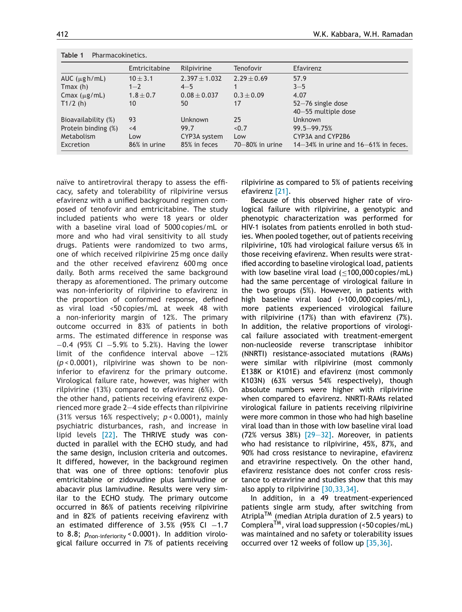<span id="page-3-0"></span>

| Table 1<br>Pharmacokinetics. |               |                   |                      |                                            |  |  |  |  |
|------------------------------|---------------|-------------------|----------------------|--------------------------------------------|--|--|--|--|
|                              | Emtricitabine | Rilpivirine       | Tenofovir            | Efavirenz                                  |  |  |  |  |
| AUC $(\mu g h/mL)$           | $10 \pm 3.1$  | $2.397 \pm 1.032$ | $2.29 \pm 0.69$      | 57.9                                       |  |  |  |  |
| Tmax(h)                      | $1 - 2$       | $4 - 5$           |                      | $3 - 5$                                    |  |  |  |  |
| Cmax $(\mu$ g/mL)            | $1.8 \pm 0.7$ | $0.08 \pm 0.037$  | $0.3 \pm 0.09$       | 4.07                                       |  |  |  |  |
| T1/2(h)                      | 10            | 50                | 17                   | 52-76 single dose<br>40-55 multiple dose   |  |  |  |  |
| Bioavailability (%)          | 93            | <b>Unknown</b>    | 25                   | <b>Unknown</b>                             |  |  |  |  |
| Protein binding (%)          | $<$ 4         | 99.7              | < 0.7                | 99.5-99.75%                                |  |  |  |  |
| Metabolism                   | Low           | CYP3A system      | Low                  | CYP3A and CYP2B6                           |  |  |  |  |
| Excretion                    | 86% in urine  | 85% in feces      | $70 - 80\%$ in urine | $14-34\%$ in urine and $16-61\%$ in feces. |  |  |  |  |

naïve to antiretroviral therapy to assess the efficacy, safety and tolerability of rilpivirine versus efavirenz with a unified background regimen composed of tenofovir and emtricitabine. The study included patients who were 18 years or older with a baseline viral load of 5000 copies/mL or more and who had viral sensitivity to all study drugs. Patients were randomized to two arms, one of which received rilpivirine 25 mg once daily and the other received efavirenz 600 mg once daily. Both arms received the same background therapy as aforementioned. The primary outcome was non-inferiority of rilpivirine to efavirenz in the proportion of conformed response, defined as viral load <50 copies/mL at week 48 with a non-inferiority margin of 12%. The primary outcome occurred in 83% of patients in both arms. The estimated difference in response was −0.4 (95% CI −5.9% to 5.2%). Having the lower limit of the confidence interval above −12% (*p* < 0.0001), rilpivirine was shown to be noninferior to efavirenz for the primary outcome. Virological failure rate, however, was higher with rilpivirine (13%) compared to efavirenz (6%). On the other hand, patients receiving efavirenz experienced more grade 2—4 side effects than rilpivirine (31% versus 16% respectively; *p* < 0.0001), mainly psychiatric disturbances, rash, and increase in lipid levels [\[22\].](#page-7-0) The THRIVE study was conducted in parallel with the ECHO study, and had the same design, inclusion criteria and outcomes. It differed, however, in the background regimen that was one of three options: tenofovir plus emtricitabine or zidovudine plus lamivudine or abacavir plus lamivudine. Results were very similar to the ECHO study. The primary outcome occurred in 86% of patients receiving rilpivirine and in 82% of patients receiving efavirenz with an estimated difference of 3.5% (95% CI  $-1.7$ to 8.8; *P*<sub>non-inferiority</sub> < 0.0001). In addition virological failure occurred in 7% of patients receiving rilpivirine as compared to 5% of patients receiving efavirenz [\[21\].](#page-7-0)

Because of this observed higher rate of virological failure with rilpivirine, a genotypic and phenotypic characterization was performed for HIV-1 isolates from patients enrolled in both studies. When pooled together, out of patients receiving rilpivirine, 10% had virological failure versus 6% in those receiving efavirenz. When results were stratified according to baseline virological load, patients with low baseline viral load  $(\leq 100,000 \text{ copies/mL})$ had the same percentage of virological failure in the two groups (5%). However, in patients with high baseline viral load (>100,000 copies/mL), more patients experienced virological failure with rilpivirine (17%) than with efavirenz (7%). In addition, the relative proportions of virological failure associated with treatment-emergent non-nucleoside reverse transcriptase inhibitor (NNRTI) resistance-associated mutations (RAMs) were similar with rilpivirine (most commonly E138K or K101E) and efavirenz (most commonly K103N) (63% versus 54% respectively), though absolute numbers were higher with rilpivirine when compared to efavirenz. NNRTI-RAMs related virological failure in patients receiving rilpivirine were more common in those who had high baseline viral load than in those with low baseline viral load (72% versus 38%) [\[29—32\].](#page-7-0) Moreover, in patients who had resistance to rilpivirine, 45%, 87%, and 90% had cross resistance to nevirapine, efavirenz and etravirine respectively. On the other hand, efavirenz resistance does not confer cross resistance to etravirine and studies show that this may also apply to rilpivirine  $[30,33,34]$ .

In addition, in a 49 treatment-experienced patients single arm study, after switching from Atripla<sup>TM</sup> (median Atripla duration of 2.5 years) to CompleraTM, viral load suppression (<50 copies/mL) was maintained and no safety or tolerability issues occurred over 12 weeks of follow up [\[35,36\].](#page-7-0)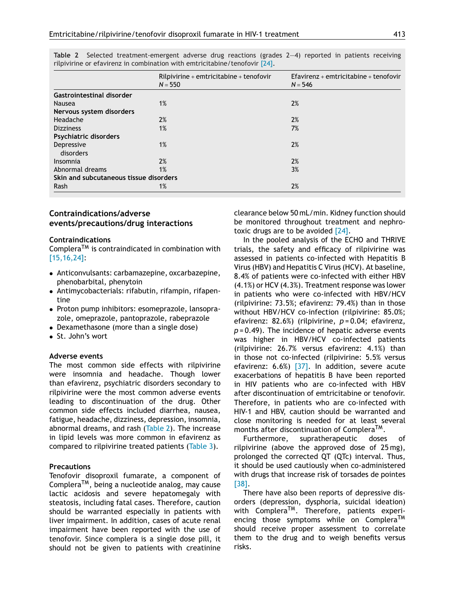|                                        | $Rilpivirine + emtricitabine + tenofovir$<br>$N = 550$ | Efavirenz + emtricitabine + tenofovir<br>$N = 546$ |
|----------------------------------------|--------------------------------------------------------|----------------------------------------------------|
| Gastrointestinal disorder              |                                                        |                                                    |
| Nausea                                 | 1%                                                     | 2%                                                 |
| Nervous system disorders               |                                                        |                                                    |
| Headache                               | 2%                                                     | 2%                                                 |
| <b>Dizziness</b>                       | 1%                                                     | 7%                                                 |
| <b>Psychiatric disorders</b>           |                                                        |                                                    |
| Depressive<br>disorders                | 1%                                                     | 2%                                                 |
| Insomnia                               | 2%                                                     | 2%                                                 |
| Abnormal dreams                        | 1%                                                     | 3%                                                 |
| Skin and subcutaneous tissue disorders |                                                        |                                                    |
| Rash                                   | 1%                                                     | 2%                                                 |

**Table 2** Selected treatment-emergent adverse drug reactions (grades 2—4) reported in patients receiving rilpivirine or efavirenz in combination with emtricitabine/tenofovir [\[24\].](#page-7-0)

## **Contraindications/adverse events/precautions/drug interactions**

#### **Contraindications**

Complera<sup>TM</sup> is contraindicated in combination with [\[15,16,24\]:](#page-7-0)

- Anticonvulsants: carbamazepine, oxcarbazepine, phenobarbital, phenytoin
- Antimycobacterials: rifabutin, rifampin, rifapentine
- Proton pump inhibitors: esomeprazole, lansoprazole, omeprazole, pantoprazole, rabeprazole
- Dexamethasone (more than a single dose)
- St. John's wort

## **Adverse events**

The most common side effects with rilpivirine were insomnia and headache. Though lower than efavirenz, psychiatric disorders secondary to rilpivirine were the most common adverse events leading to discontinuation of the drug. Other common side effects included diarrhea, nausea, fatigue, headache, dizziness, depression, insomnia, abnormal dreams, and rash (Table 2). The increase in lipid levels was more common in efavirenz as compared to rilpivirine treated patients [\(Table](#page-5-0) 3).

#### **Precautions**

Tenofovir disoproxil fumarate, a component of Complera<sup>TM</sup>, being a nucleotide analog, may cause lactic acidosis and severe hepatomegaly with steatosis, including fatal cases. Therefore, caution should be warranted especially in patients with liver impairment. In addition, cases of acute renal impairment have been reported with the use of tenofovir. Since complera is a single dose pill, it should not be given to patients with creatinine clearance below 50 mL/min. Kidney function should be monitored throughout treatment and nephrotoxic drugs are to be avoided [\[24\].](#page-7-0)

In the pooled analysis of the ECHO and THRIVE trials, the safety and efficacy of rilpivirine was assessed in patients co-infected with Hepatitis B Virus (HBV) and Hepatitis C Virus (HCV). At baseline, 8.4% of patients were co-infected with either HBV (4.1%) or HCV (4.3%). Treatment response was lower in patients who were co-infected with HBV/HCV (rilpivirine: 73.5%; efavirenz: 79.4%) than in those without HBV/HCV co-infection (rilpivirine: 85.0%; efavirenz: 82.6%) (rilpivirine, *p* = 0.04; efavirenz, *p* = 0.49). The incidence of hepatic adverse events was higher in HBV/HCV co-infected patients (rilpivirine: 26.7% versus efavirenz: 4.1%) than in those not co-infected (rilpivirine: 5.5% versus efavirenz:  $6.6\%$ ) [\[37\].](#page-7-0) In addition, severe acute exacerbations of hepatitis B have been reported in HIV patients who are co-infected with HBV after discontinuation of emtricitabine or tenofovir. Therefore, in patients who are co-infected with HIV-1 and HBV, caution should be warranted and close monitoring is needed for at least several months after discontinuation of Complera<sup>TM</sup>.

Furthermore, supratherapeutic doses of rilpivirine (above the approved dose of 25 mg), prolonged the corrected QT (QTc) interval. Thus, it should be used cautiously when co-administered with drugs that increase risk of torsades de pointes [\[38\].](#page-7-0)

There have also been reports of depressive disorders (depression, dysphoria, suicidal ideation) with Complera<sup>TM</sup>. Therefore, patients experiencing those symptoms while on Complera<sup>TM</sup> should receive proper assessment to correlate them to the drug and to weigh benefits versus risks.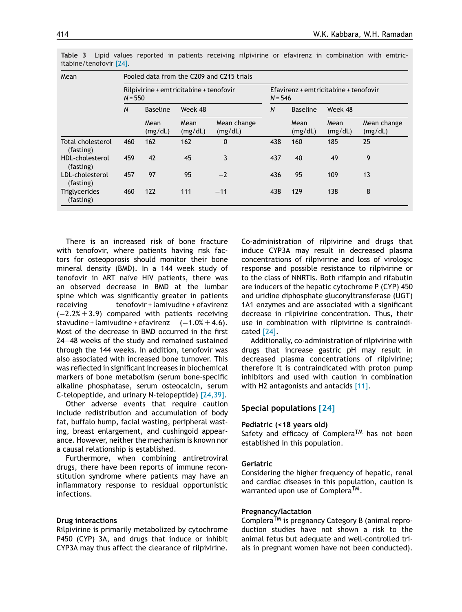| Mean                              | Pooled data from the C209 and C215 trials            |                 |                 |                                                    |              |                 |                 |                        |
|-----------------------------------|------------------------------------------------------|-----------------|-----------------|----------------------------------------------------|--------------|-----------------|-----------------|------------------------|
|                                   | Rilpivirine + emtricitabine + tenofovir<br>$N = 550$ |                 |                 | Efavirenz + emtricitabine + tenofovir<br>$N = 546$ |              |                 |                 |                        |
|                                   | N<br>Mean                                            | <b>Baseline</b> | Week 48         |                                                    | $\mathsf{N}$ | <b>Baseline</b> | Week 48         |                        |
|                                   |                                                      | (mg/dL)         | Mean<br>(mg/dL) | Mean change<br>(mg/dL)                             |              | Mean<br>(mg/dL) | Mean<br>(mg/dL) | Mean change<br>(mg/dL) |
| Total cholesterol<br>(fasting)    | 460                                                  | 162             | 162             | 0                                                  | 438          | 160             | 185             | 25                     |
| HDL-cholesterol<br>(fasting)      | 459                                                  | 42              | 45              | 3                                                  | 437          | 40              | 49              | 9                      |
| LDL-cholesterol<br>(fasting)      | 457                                                  | 97              | 95              | $-2$                                               | 436          | 95              | 109             | 13                     |
| <b>Triglycerides</b><br>(fasting) | 460                                                  | 122             | 111             | $-11$                                              | 438          | 129             | 138             | 8                      |

<span id="page-5-0"></span>**Table 3** Lipid values reported in patients receiving rilpivirine or efavirenz in combination with emtricitabine/tenofovir [\[24\].](#page-7-0)

There is an increased risk of bone fracture with tenofovir, where patients having risk factors for osteoporosis should monitor their bone mineral density (BMD). In a 144 week study of tenofovir in ART naïve HIV patients, there was an observed decrease in BMD at the lumbar spine which was significantly greater in patients receiving tenofovir + lamivudine + efavirenz  $(-2.2% \pm 3.9)$  compared with patients receiving stavudine + lamivudine + efavirenz  $(-1.0% \pm 4.6)$ . Most of the decrease in BMD occurred in the first 24—48 weeks of the study and remained sustained through the 144 weeks. In addition, tenofovir was also associated with increased bone turnover. This was reflected in significant increases in biochemical markers of bone metabolism (serum bone-specific alkaline phosphatase, serum osteocalcin, serum C-telopeptide, and urinary N-telopeptide) [\[24,39\].](#page-7-0)

Other adverse events that require caution include redistribution and accumulation of body fat, buffalo hump, facial wasting, peripheral wasting, breast enlargement, and cushingoid appearance. However, neither the mechanism is known nor a causal relationship is established.

Furthermore, when combining antiretroviral drugs, there have been reports of immune reconstitution syndrome where patients may have an inflammatory response to residual opportunistic infections.

#### **Drug interactions**

Rilpivirine is primarily metabolized by cytochrome P450 (CYP) 3A, and drugs that induce or inhibit CYP3A may thus affect the clearance of rilpivirine.

Co-administration of rilpivirine and drugs that induce CYP3A may result in decreased plasma concentrations of rilpivirine and loss of virologic response and possible resistance to rilpivirine or to the class of NNRTIs. Both rifampin and rifabutin are inducers of the hepatic cytochrome P (CYP) 450 and uridine diphosphate gluconyltransferase (UGT) 1A1 enzymes and are associated with a significant decrease in rilpivirine concentration. Thus, their use in combination with rilpivirine is contraindicated [\[24\].](#page-7-0)

Additionally, co-administration of rilpivirine with drugs that increase gastric pH may result in decreased plasma concentrations of rilpivirine; therefore it is contraindicated with proton pump inhibitors and used with caution in combination with H2 antagonists and antacids [\[11\].](#page-7-0)

#### **Special populations [\[24\]](#page-7-0)**

#### **Pediatric (<18 years old)**

Safety and efficacy of Complera<sup>TM</sup> has not been established in this population.

#### **Geriatric**

Considering the higher frequency of hepatic, renal and cardiac diseases in this population, caution is warranted upon use of Complera<sup>TM</sup>.

#### **Pregnancy/lactation**

Complera<sup>TM</sup> is pregnancy Category B (animal reproduction studies have not shown a risk to the animal fetus but adequate and well-controlled trials in pregnant women have not been conducted).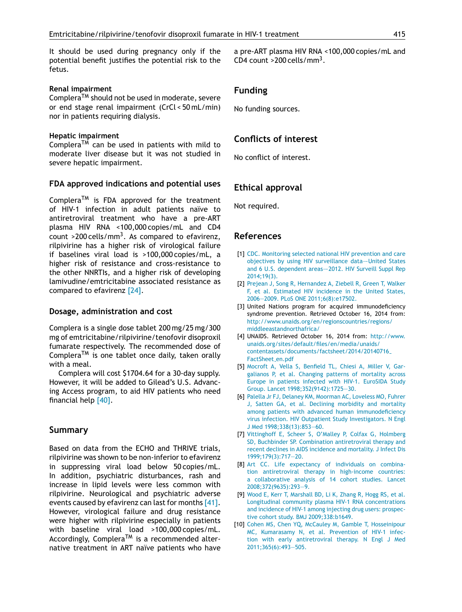<span id="page-6-0"></span>It should be used during pregnancy only if the potential benefit justifies the potential risk to the fetus.

#### **Renal impairment**

Complera<sup>TM</sup> should not be used in moderate, severe or end stage renal impairment (CrCl < 50 mL/min) nor in patients requiring dialysis.

#### **Hepatic impairment**

Complera<sup>TM</sup> can be used in patients with mild to moderate liver disease but it was not studied in severe hepatic impairment.

## **FDA approved indications and potential uses**

Complera<sup>TM</sup> is FDA approved for the treatment of HIV-1 infection in adult patients naïve to antiretroviral treatment who have a pre-ART plasma HIV RNA <100,000 copies/mL and CD4 count >200 cells/mm<sup>3</sup>. As compared to efavirenz, rilpivirine has a higher risk of virological failure if baselines viral load is >100,000 copies/mL, a higher risk of resistance and cross-resistance to the other NNRTIs, and a higher risk of developing lamivudine/emtricitabine associated resistance as compared to efavirenz [\[24\].](#page-7-0)

#### **Dosage, administration and cost**

Complera is a single dose tablet 200 mg/25 mg/300 mg of emtricitabine/rilpivirine/tenofovir disoproxil fumarate respectively. The recommended dose of Complera<sup>TM</sup> is one tablet once daily, taken orally with a meal.

Complera will cost \$1704.64 for a 30-day supply. However, it will be added to Gilead's U.S. Advancing Access program, to aid HIV patients who need financial help [\[40\].](#page-8-0)

## **Summary**

Based on data from the ECHO and THRIVE trials, rilpivirine was shown to be non-inferior to efavirenz in suppressing viral load below 50 copies/mL. In addition, psychiatric disturbances, rash and increase in lipid levels were less common with rilpivirine. Neurological and psychiatric adverse events caused by efavirenz can last for months [\[41\].](#page-8-0) However, virological failure and drug resistance were higher with rilpivirine especially in patients with baseline viral load >100,000 copies/mL. Accordingly, Complera<sup>TM</sup> is a recommended alternative treatment in ART naïve patients who have a pre-ART plasma HIV RNA <100,000 copies/mL and CD4 count  $>200$  cells/mm<sup>3</sup>.

# **Funding**

No funding sources.

# **Conflicts of interest**

No conflict of interest.

# **Ethical approval**

Not required.

# **References**

- [1] [CDC.](http://refhub.elsevier.com/S1876-0341(15)00087-8/sbref0210) [Monitoring](http://refhub.elsevier.com/S1876-0341(15)00087-8/sbref0210) [selected](http://refhub.elsevier.com/S1876-0341(15)00087-8/sbref0210) [national](http://refhub.elsevier.com/S1876-0341(15)00087-8/sbref0210) [HIV](http://refhub.elsevier.com/S1876-0341(15)00087-8/sbref0210) [prevention](http://refhub.elsevier.com/S1876-0341(15)00087-8/sbref0210) [and](http://refhub.elsevier.com/S1876-0341(15)00087-8/sbref0210) [care](http://refhub.elsevier.com/S1876-0341(15)00087-8/sbref0210) [objectives](http://refhub.elsevier.com/S1876-0341(15)00087-8/sbref0210) [by](http://refhub.elsevier.com/S1876-0341(15)00087-8/sbref0210) [using](http://refhub.elsevier.com/S1876-0341(15)00087-8/sbref0210) [HIV](http://refhub.elsevier.com/S1876-0341(15)00087-8/sbref0210) [surveillance](http://refhub.elsevier.com/S1876-0341(15)00087-8/sbref0210) data-United [States](http://refhub.elsevier.com/S1876-0341(15)00087-8/sbref0210) [and](http://refhub.elsevier.com/S1876-0341(15)00087-8/sbref0210) [6](http://refhub.elsevier.com/S1876-0341(15)00087-8/sbref0210) [U.S.](http://refhub.elsevier.com/S1876-0341(15)00087-8/sbref0210) [dependent](http://refhub.elsevier.com/S1876-0341(15)00087-8/sbref0210) areas-2012. [HIV](http://refhub.elsevier.com/S1876-0341(15)00087-8/sbref0210) [Surveill](http://refhub.elsevier.com/S1876-0341(15)00087-8/sbref0210) [Suppl](http://refhub.elsevier.com/S1876-0341(15)00087-8/sbref0210) [Rep](http://refhub.elsevier.com/S1876-0341(15)00087-8/sbref0210) [2014;19\(3\).](http://refhub.elsevier.com/S1876-0341(15)00087-8/sbref0210)
- [2] [Prejean](http://refhub.elsevier.com/S1876-0341(15)00087-8/sbref0215) [J,](http://refhub.elsevier.com/S1876-0341(15)00087-8/sbref0215) [Song](http://refhub.elsevier.com/S1876-0341(15)00087-8/sbref0215) [R,](http://refhub.elsevier.com/S1876-0341(15)00087-8/sbref0215) [Hernandez](http://refhub.elsevier.com/S1876-0341(15)00087-8/sbref0215) [A,](http://refhub.elsevier.com/S1876-0341(15)00087-8/sbref0215) [Ziebell](http://refhub.elsevier.com/S1876-0341(15)00087-8/sbref0215) [R,](http://refhub.elsevier.com/S1876-0341(15)00087-8/sbref0215) [Green](http://refhub.elsevier.com/S1876-0341(15)00087-8/sbref0215) [T,](http://refhub.elsevier.com/S1876-0341(15)00087-8/sbref0215) [Walker](http://refhub.elsevier.com/S1876-0341(15)00087-8/sbref0215) [F,](http://refhub.elsevier.com/S1876-0341(15)00087-8/sbref0215) [et](http://refhub.elsevier.com/S1876-0341(15)00087-8/sbref0215) [al.](http://refhub.elsevier.com/S1876-0341(15)00087-8/sbref0215) [Estimated](http://refhub.elsevier.com/S1876-0341(15)00087-8/sbref0215) [HIV](http://refhub.elsevier.com/S1876-0341(15)00087-8/sbref0215) [incidence](http://refhub.elsevier.com/S1876-0341(15)00087-8/sbref0215) [in](http://refhub.elsevier.com/S1876-0341(15)00087-8/sbref0215) [the](http://refhub.elsevier.com/S1876-0341(15)00087-8/sbref0215) [United](http://refhub.elsevier.com/S1876-0341(15)00087-8/sbref0215) [States,](http://refhub.elsevier.com/S1876-0341(15)00087-8/sbref0215) [2006](http://refhub.elsevier.com/S1876-0341(15)00087-8/sbref0215)—[2009.](http://refhub.elsevier.com/S1876-0341(15)00087-8/sbref0215) [PLoS](http://refhub.elsevier.com/S1876-0341(15)00087-8/sbref0215) [ONE](http://refhub.elsevier.com/S1876-0341(15)00087-8/sbref0215) [2011;6\(8\):e17502.](http://refhub.elsevier.com/S1876-0341(15)00087-8/sbref0215)
- [3] United Nations program for acquired immunodeficiency syndrome prevention. Retrieved October 16, 2014 from: [http://www.unaids.org/en/regionscountries/regions/](http://www.unaids.org/en/regionscountries/regions/middleeastandnorthafrica/) [middleeastandnorthafrica/](http://www.unaids.org/en/regionscountries/regions/middleeastandnorthafrica/)
- [4] UNAIDS. Retrieved October 16, 2014 from: [http://www.](http://www.unaids.org/sites/default/files/en/media/unaids/contentassets/documents/factsheet/2014/20140716_FactSheet_en.pdf) [unaids.org/sites/default/files/en/media/unaids/](http://www.unaids.org/sites/default/files/en/media/unaids/contentassets/documents/factsheet/2014/20140716_FactSheet_en.pdf) [contentassets/documents/factsheet/2014/20140716](http://www.unaids.org/sites/default/files/en/media/unaids/contentassets/documents/factsheet/2014/20140716_FactSheet_en.pdf) [FactSheet](http://www.unaids.org/sites/default/files/en/media/unaids/contentassets/documents/factsheet/2014/20140716_FactSheet_en.pdf)\_en.pdf
- [5] [Mocroft](http://refhub.elsevier.com/S1876-0341(15)00087-8/sbref0230) [A,](http://refhub.elsevier.com/S1876-0341(15)00087-8/sbref0230) [Vella](http://refhub.elsevier.com/S1876-0341(15)00087-8/sbref0230) [S,](http://refhub.elsevier.com/S1876-0341(15)00087-8/sbref0230) [Benfield](http://refhub.elsevier.com/S1876-0341(15)00087-8/sbref0230) [TL,](http://refhub.elsevier.com/S1876-0341(15)00087-8/sbref0230) [Chiesi](http://refhub.elsevier.com/S1876-0341(15)00087-8/sbref0230) [A,](http://refhub.elsevier.com/S1876-0341(15)00087-8/sbref0230) [Miller](http://refhub.elsevier.com/S1876-0341(15)00087-8/sbref0230) [V,](http://refhub.elsevier.com/S1876-0341(15)00087-8/sbref0230) [Gar](http://refhub.elsevier.com/S1876-0341(15)00087-8/sbref0230)[galianos](http://refhub.elsevier.com/S1876-0341(15)00087-8/sbref0230) [P,](http://refhub.elsevier.com/S1876-0341(15)00087-8/sbref0230) [et](http://refhub.elsevier.com/S1876-0341(15)00087-8/sbref0230) [al.](http://refhub.elsevier.com/S1876-0341(15)00087-8/sbref0230) [Changing](http://refhub.elsevier.com/S1876-0341(15)00087-8/sbref0230) [patterns](http://refhub.elsevier.com/S1876-0341(15)00087-8/sbref0230) [of](http://refhub.elsevier.com/S1876-0341(15)00087-8/sbref0230) [mortality](http://refhub.elsevier.com/S1876-0341(15)00087-8/sbref0230) [across](http://refhub.elsevier.com/S1876-0341(15)00087-8/sbref0230) [Europe](http://refhub.elsevier.com/S1876-0341(15)00087-8/sbref0230) [in](http://refhub.elsevier.com/S1876-0341(15)00087-8/sbref0230) [patients](http://refhub.elsevier.com/S1876-0341(15)00087-8/sbref0230) [infected](http://refhub.elsevier.com/S1876-0341(15)00087-8/sbref0230) [with](http://refhub.elsevier.com/S1876-0341(15)00087-8/sbref0230) [HIV-1.](http://refhub.elsevier.com/S1876-0341(15)00087-8/sbref0230) [EuroSIDA](http://refhub.elsevier.com/S1876-0341(15)00087-8/sbref0230) [Study](http://refhub.elsevier.com/S1876-0341(15)00087-8/sbref0230) [Group.](http://refhub.elsevier.com/S1876-0341(15)00087-8/sbref0230) [Lancet](http://refhub.elsevier.com/S1876-0341(15)00087-8/sbref0230) [1998;352\(9142\):1725](http://refhub.elsevier.com/S1876-0341(15)00087-8/sbref0230)—[30.](http://refhub.elsevier.com/S1876-0341(15)00087-8/sbref0230)
- [6] [Palella](http://refhub.elsevier.com/S1876-0341(15)00087-8/sbref0235) [Jr](http://refhub.elsevier.com/S1876-0341(15)00087-8/sbref0235) [FJ,](http://refhub.elsevier.com/S1876-0341(15)00087-8/sbref0235) [Delaney](http://refhub.elsevier.com/S1876-0341(15)00087-8/sbref0235) [KM,](http://refhub.elsevier.com/S1876-0341(15)00087-8/sbref0235) [Moorman](http://refhub.elsevier.com/S1876-0341(15)00087-8/sbref0235) [AC,](http://refhub.elsevier.com/S1876-0341(15)00087-8/sbref0235) [Loveless](http://refhub.elsevier.com/S1876-0341(15)00087-8/sbref0235) [MO,](http://refhub.elsevier.com/S1876-0341(15)00087-8/sbref0235) [Fuhrer](http://refhub.elsevier.com/S1876-0341(15)00087-8/sbref0235) [J,](http://refhub.elsevier.com/S1876-0341(15)00087-8/sbref0235) [Satten](http://refhub.elsevier.com/S1876-0341(15)00087-8/sbref0235) [GA,](http://refhub.elsevier.com/S1876-0341(15)00087-8/sbref0235) [et](http://refhub.elsevier.com/S1876-0341(15)00087-8/sbref0235) [al.](http://refhub.elsevier.com/S1876-0341(15)00087-8/sbref0235) [Declining](http://refhub.elsevier.com/S1876-0341(15)00087-8/sbref0235) [morbidity](http://refhub.elsevier.com/S1876-0341(15)00087-8/sbref0235) [and](http://refhub.elsevier.com/S1876-0341(15)00087-8/sbref0235) [mortality](http://refhub.elsevier.com/S1876-0341(15)00087-8/sbref0235) [among](http://refhub.elsevier.com/S1876-0341(15)00087-8/sbref0235) [patients](http://refhub.elsevier.com/S1876-0341(15)00087-8/sbref0235) [with](http://refhub.elsevier.com/S1876-0341(15)00087-8/sbref0235) [advanced](http://refhub.elsevier.com/S1876-0341(15)00087-8/sbref0235) [human](http://refhub.elsevier.com/S1876-0341(15)00087-8/sbref0235) [immunodeficiency](http://refhub.elsevier.com/S1876-0341(15)00087-8/sbref0235) [virus](http://refhub.elsevier.com/S1876-0341(15)00087-8/sbref0235) [infection.](http://refhub.elsevier.com/S1876-0341(15)00087-8/sbref0235) [HIV](http://refhub.elsevier.com/S1876-0341(15)00087-8/sbref0235) [Outpatient](http://refhub.elsevier.com/S1876-0341(15)00087-8/sbref0235) [Study](http://refhub.elsevier.com/S1876-0341(15)00087-8/sbref0235) [Investigators.](http://refhub.elsevier.com/S1876-0341(15)00087-8/sbref0235) [N](http://refhub.elsevier.com/S1876-0341(15)00087-8/sbref0235) [Engl](http://refhub.elsevier.com/S1876-0341(15)00087-8/sbref0235) [J](http://refhub.elsevier.com/S1876-0341(15)00087-8/sbref0235) [Med](http://refhub.elsevier.com/S1876-0341(15)00087-8/sbref0235) [1998;338\(13\):853—60.](http://refhub.elsevier.com/S1876-0341(15)00087-8/sbref0235)
- [7] [Vittinghoff](http://refhub.elsevier.com/S1876-0341(15)00087-8/sbref0240) [E,](http://refhub.elsevier.com/S1876-0341(15)00087-8/sbref0240) [Scheer](http://refhub.elsevier.com/S1876-0341(15)00087-8/sbref0240) [S,](http://refhub.elsevier.com/S1876-0341(15)00087-8/sbref0240) [O'Malley](http://refhub.elsevier.com/S1876-0341(15)00087-8/sbref0240) [P,](http://refhub.elsevier.com/S1876-0341(15)00087-8/sbref0240) [Colfax](http://refhub.elsevier.com/S1876-0341(15)00087-8/sbref0240) [G,](http://refhub.elsevier.com/S1876-0341(15)00087-8/sbref0240) [Holmberg](http://refhub.elsevier.com/S1876-0341(15)00087-8/sbref0240) [SD,](http://refhub.elsevier.com/S1876-0341(15)00087-8/sbref0240) [Buchbinder](http://refhub.elsevier.com/S1876-0341(15)00087-8/sbref0240) [SP.](http://refhub.elsevier.com/S1876-0341(15)00087-8/sbref0240) [Combination](http://refhub.elsevier.com/S1876-0341(15)00087-8/sbref0240) [antiretroviral](http://refhub.elsevier.com/S1876-0341(15)00087-8/sbref0240) [therapy](http://refhub.elsevier.com/S1876-0341(15)00087-8/sbref0240) [and](http://refhub.elsevier.com/S1876-0341(15)00087-8/sbref0240) [recent](http://refhub.elsevier.com/S1876-0341(15)00087-8/sbref0240) [declines](http://refhub.elsevier.com/S1876-0341(15)00087-8/sbref0240) [in](http://refhub.elsevier.com/S1876-0341(15)00087-8/sbref0240) [AIDS](http://refhub.elsevier.com/S1876-0341(15)00087-8/sbref0240) [incidence](http://refhub.elsevier.com/S1876-0341(15)00087-8/sbref0240) [and](http://refhub.elsevier.com/S1876-0341(15)00087-8/sbref0240) [mortality.](http://refhub.elsevier.com/S1876-0341(15)00087-8/sbref0240) [J](http://refhub.elsevier.com/S1876-0341(15)00087-8/sbref0240) [Infect](http://refhub.elsevier.com/S1876-0341(15)00087-8/sbref0240) [Dis](http://refhub.elsevier.com/S1876-0341(15)00087-8/sbref0240) [1999;179\(3\):717—20.](http://refhub.elsevier.com/S1876-0341(15)00087-8/sbref0240)
- [8] [Art](http://refhub.elsevier.com/S1876-0341(15)00087-8/sbref0245) [CC.](http://refhub.elsevier.com/S1876-0341(15)00087-8/sbref0245) [Life](http://refhub.elsevier.com/S1876-0341(15)00087-8/sbref0245) [expectancy](http://refhub.elsevier.com/S1876-0341(15)00087-8/sbref0245) [of](http://refhub.elsevier.com/S1876-0341(15)00087-8/sbref0245) [individuals](http://refhub.elsevier.com/S1876-0341(15)00087-8/sbref0245) [on](http://refhub.elsevier.com/S1876-0341(15)00087-8/sbref0245) [combina](http://refhub.elsevier.com/S1876-0341(15)00087-8/sbref0245)[tion](http://refhub.elsevier.com/S1876-0341(15)00087-8/sbref0245) [antiretroviral](http://refhub.elsevier.com/S1876-0341(15)00087-8/sbref0245) [therapy](http://refhub.elsevier.com/S1876-0341(15)00087-8/sbref0245) [in](http://refhub.elsevier.com/S1876-0341(15)00087-8/sbref0245) [high-income](http://refhub.elsevier.com/S1876-0341(15)00087-8/sbref0245) [countries:](http://refhub.elsevier.com/S1876-0341(15)00087-8/sbref0245) [a](http://refhub.elsevier.com/S1876-0341(15)00087-8/sbref0245) [collaborative](http://refhub.elsevier.com/S1876-0341(15)00087-8/sbref0245) [analysis](http://refhub.elsevier.com/S1876-0341(15)00087-8/sbref0245) [of](http://refhub.elsevier.com/S1876-0341(15)00087-8/sbref0245) [14](http://refhub.elsevier.com/S1876-0341(15)00087-8/sbref0245) [cohort](http://refhub.elsevier.com/S1876-0341(15)00087-8/sbref0245) [studies.](http://refhub.elsevier.com/S1876-0341(15)00087-8/sbref0245) [Lancet](http://refhub.elsevier.com/S1876-0341(15)00087-8/sbref0245) [2008;372\(9635\):293—9.](http://refhub.elsevier.com/S1876-0341(15)00087-8/sbref0245)
- [9] [Wood](http://refhub.elsevier.com/S1876-0341(15)00087-8/sbref0250) [E,](http://refhub.elsevier.com/S1876-0341(15)00087-8/sbref0250) [Kerr](http://refhub.elsevier.com/S1876-0341(15)00087-8/sbref0250) [T,](http://refhub.elsevier.com/S1876-0341(15)00087-8/sbref0250) [Marshall](http://refhub.elsevier.com/S1876-0341(15)00087-8/sbref0250) [BD,](http://refhub.elsevier.com/S1876-0341(15)00087-8/sbref0250) [Li](http://refhub.elsevier.com/S1876-0341(15)00087-8/sbref0250) [K,](http://refhub.elsevier.com/S1876-0341(15)00087-8/sbref0250) [Zhang](http://refhub.elsevier.com/S1876-0341(15)00087-8/sbref0250) [R,](http://refhub.elsevier.com/S1876-0341(15)00087-8/sbref0250) [Hogg](http://refhub.elsevier.com/S1876-0341(15)00087-8/sbref0250) [RS,](http://refhub.elsevier.com/S1876-0341(15)00087-8/sbref0250) [et](http://refhub.elsevier.com/S1876-0341(15)00087-8/sbref0250) [al.](http://refhub.elsevier.com/S1876-0341(15)00087-8/sbref0250) [Longitudinal](http://refhub.elsevier.com/S1876-0341(15)00087-8/sbref0250) [community](http://refhub.elsevier.com/S1876-0341(15)00087-8/sbref0250) [plasma](http://refhub.elsevier.com/S1876-0341(15)00087-8/sbref0250) [HIV-1](http://refhub.elsevier.com/S1876-0341(15)00087-8/sbref0250) [RNA](http://refhub.elsevier.com/S1876-0341(15)00087-8/sbref0250) [concentrations](http://refhub.elsevier.com/S1876-0341(15)00087-8/sbref0250) [and](http://refhub.elsevier.com/S1876-0341(15)00087-8/sbref0250) [incidence](http://refhub.elsevier.com/S1876-0341(15)00087-8/sbref0250) [of](http://refhub.elsevier.com/S1876-0341(15)00087-8/sbref0250) [HIV-1](http://refhub.elsevier.com/S1876-0341(15)00087-8/sbref0250) [among](http://refhub.elsevier.com/S1876-0341(15)00087-8/sbref0250) [injecting](http://refhub.elsevier.com/S1876-0341(15)00087-8/sbref0250) [drug](http://refhub.elsevier.com/S1876-0341(15)00087-8/sbref0250) [users:](http://refhub.elsevier.com/S1876-0341(15)00087-8/sbref0250) [prospec](http://refhub.elsevier.com/S1876-0341(15)00087-8/sbref0250)[tive](http://refhub.elsevier.com/S1876-0341(15)00087-8/sbref0250) [cohort](http://refhub.elsevier.com/S1876-0341(15)00087-8/sbref0250) [study.](http://refhub.elsevier.com/S1876-0341(15)00087-8/sbref0250) [BMJ](http://refhub.elsevier.com/S1876-0341(15)00087-8/sbref0250) [2009;338:b1649.](http://refhub.elsevier.com/S1876-0341(15)00087-8/sbref0250)
- [10] [Cohen](http://refhub.elsevier.com/S1876-0341(15)00087-8/sbref0255) [MS,](http://refhub.elsevier.com/S1876-0341(15)00087-8/sbref0255) [Chen](http://refhub.elsevier.com/S1876-0341(15)00087-8/sbref0255) [YQ,](http://refhub.elsevier.com/S1876-0341(15)00087-8/sbref0255) [McCauley](http://refhub.elsevier.com/S1876-0341(15)00087-8/sbref0255) [M,](http://refhub.elsevier.com/S1876-0341(15)00087-8/sbref0255) [Gamble](http://refhub.elsevier.com/S1876-0341(15)00087-8/sbref0255) [T,](http://refhub.elsevier.com/S1876-0341(15)00087-8/sbref0255) [Hosseinipour](http://refhub.elsevier.com/S1876-0341(15)00087-8/sbref0255) [MC,](http://refhub.elsevier.com/S1876-0341(15)00087-8/sbref0255) [Kumarasamy](http://refhub.elsevier.com/S1876-0341(15)00087-8/sbref0255) [N,](http://refhub.elsevier.com/S1876-0341(15)00087-8/sbref0255) [et](http://refhub.elsevier.com/S1876-0341(15)00087-8/sbref0255) [al.](http://refhub.elsevier.com/S1876-0341(15)00087-8/sbref0255) [Prevention](http://refhub.elsevier.com/S1876-0341(15)00087-8/sbref0255) [of](http://refhub.elsevier.com/S1876-0341(15)00087-8/sbref0255) [HIV-1](http://refhub.elsevier.com/S1876-0341(15)00087-8/sbref0255) [infec](http://refhub.elsevier.com/S1876-0341(15)00087-8/sbref0255)[tion](http://refhub.elsevier.com/S1876-0341(15)00087-8/sbref0255) [with](http://refhub.elsevier.com/S1876-0341(15)00087-8/sbref0255) [early](http://refhub.elsevier.com/S1876-0341(15)00087-8/sbref0255) [antiretroviral](http://refhub.elsevier.com/S1876-0341(15)00087-8/sbref0255) [therapy.](http://refhub.elsevier.com/S1876-0341(15)00087-8/sbref0255) [N](http://refhub.elsevier.com/S1876-0341(15)00087-8/sbref0255) [Engl](http://refhub.elsevier.com/S1876-0341(15)00087-8/sbref0255) [J](http://refhub.elsevier.com/S1876-0341(15)00087-8/sbref0255) [Med](http://refhub.elsevier.com/S1876-0341(15)00087-8/sbref0255) [2011;365\(6\):493](http://refhub.elsevier.com/S1876-0341(15)00087-8/sbref0255)—[505.](http://refhub.elsevier.com/S1876-0341(15)00087-8/sbref0255)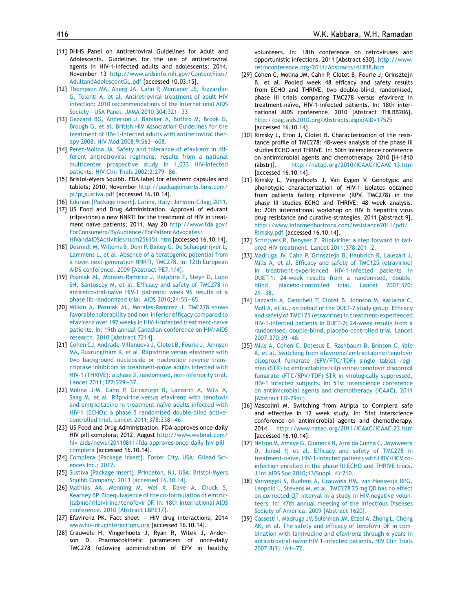- <span id="page-7-0"></span>[11] DHHS Panel on Antiretroviral Guidelines for Adult and Adolescents. Guidelines for the use of antiretroviral agents in HIV-1-infected adults and adolescents; 2014, November 13 [http://www.aidsinfo.nih.gov/ContentFiles/](http://www.aidsinfo.nih.gov/ContentFiles/AdultandAdolescentGL.pdf) [AdultandAdolescentGL.pdf](http://www.aidsinfo.nih.gov/ContentFiles/AdultandAdolescentGL.pdf) [accessed 10.03.15].
- [12] [Thompson](http://refhub.elsevier.com/S1876-0341(15)00087-8/sbref0265) [MA,](http://refhub.elsevier.com/S1876-0341(15)00087-8/sbref0265) [Aberg](http://refhub.elsevier.com/S1876-0341(15)00087-8/sbref0265) [JA,](http://refhub.elsevier.com/S1876-0341(15)00087-8/sbref0265) [Cahn](http://refhub.elsevier.com/S1876-0341(15)00087-8/sbref0265) [P,](http://refhub.elsevier.com/S1876-0341(15)00087-8/sbref0265) [Montaner](http://refhub.elsevier.com/S1876-0341(15)00087-8/sbref0265) [JS,](http://refhub.elsevier.com/S1876-0341(15)00087-8/sbref0265) [Rizzardini](http://refhub.elsevier.com/S1876-0341(15)00087-8/sbref0265) [G,](http://refhub.elsevier.com/S1876-0341(15)00087-8/sbref0265) [Telenti](http://refhub.elsevier.com/S1876-0341(15)00087-8/sbref0265) [A,](http://refhub.elsevier.com/S1876-0341(15)00087-8/sbref0265) [et](http://refhub.elsevier.com/S1876-0341(15)00087-8/sbref0265) [al.](http://refhub.elsevier.com/S1876-0341(15)00087-8/sbref0265) [Antiretroviral](http://refhub.elsevier.com/S1876-0341(15)00087-8/sbref0265) [treatment](http://refhub.elsevier.com/S1876-0341(15)00087-8/sbref0265) [of](http://refhub.elsevier.com/S1876-0341(15)00087-8/sbref0265) [adult](http://refhub.elsevier.com/S1876-0341(15)00087-8/sbref0265) [HIV](http://refhub.elsevier.com/S1876-0341(15)00087-8/sbref0265) [infection:](http://refhub.elsevier.com/S1876-0341(15)00087-8/sbref0265) [2010](http://refhub.elsevier.com/S1876-0341(15)00087-8/sbref0265) [recommendations](http://refhub.elsevier.com/S1876-0341(15)00087-8/sbref0265) [of](http://refhub.elsevier.com/S1876-0341(15)00087-8/sbref0265) [the](http://refhub.elsevier.com/S1876-0341(15)00087-8/sbref0265) [International](http://refhub.elsevier.com/S1876-0341(15)00087-8/sbref0265) [AIDS](http://refhub.elsevier.com/S1876-0341(15)00087-8/sbref0265) [Society—–USA](http://refhub.elsevier.com/S1876-0341(15)00087-8/sbref0265) [Panel.](http://refhub.elsevier.com/S1876-0341(15)00087-8/sbref0265) [JAMA](http://refhub.elsevier.com/S1876-0341(15)00087-8/sbref0265) [2010;304:321—33.](http://refhub.elsevier.com/S1876-0341(15)00087-8/sbref0265)
- [13] [Gazzard](http://refhub.elsevier.com/S1876-0341(15)00087-8/sbref0270) [BG,](http://refhub.elsevier.com/S1876-0341(15)00087-8/sbref0270) [Anderson](http://refhub.elsevier.com/S1876-0341(15)00087-8/sbref0270) [J,](http://refhub.elsevier.com/S1876-0341(15)00087-8/sbref0270) [Babiker](http://refhub.elsevier.com/S1876-0341(15)00087-8/sbref0270) [A,](http://refhub.elsevier.com/S1876-0341(15)00087-8/sbref0270) [Boffito](http://refhub.elsevier.com/S1876-0341(15)00087-8/sbref0270) [M,](http://refhub.elsevier.com/S1876-0341(15)00087-8/sbref0270) [Brook](http://refhub.elsevier.com/S1876-0341(15)00087-8/sbref0270) [G,](http://refhub.elsevier.com/S1876-0341(15)00087-8/sbref0270) [Brough](http://refhub.elsevier.com/S1876-0341(15)00087-8/sbref0270) [G,](http://refhub.elsevier.com/S1876-0341(15)00087-8/sbref0270) [et](http://refhub.elsevier.com/S1876-0341(15)00087-8/sbref0270) [al.](http://refhub.elsevier.com/S1876-0341(15)00087-8/sbref0270) [British](http://refhub.elsevier.com/S1876-0341(15)00087-8/sbref0270) [HIV](http://refhub.elsevier.com/S1876-0341(15)00087-8/sbref0270) [Association](http://refhub.elsevier.com/S1876-0341(15)00087-8/sbref0270) [Guidelines](http://refhub.elsevier.com/S1876-0341(15)00087-8/sbref0270) [for](http://refhub.elsevier.com/S1876-0341(15)00087-8/sbref0270) [the](http://refhub.elsevier.com/S1876-0341(15)00087-8/sbref0270) [treatment](http://refhub.elsevier.com/S1876-0341(15)00087-8/sbref0270) [of](http://refhub.elsevier.com/S1876-0341(15)00087-8/sbref0270) [HIV-1-infected](http://refhub.elsevier.com/S1876-0341(15)00087-8/sbref0270) [adults](http://refhub.elsevier.com/S1876-0341(15)00087-8/sbref0270) [with](http://refhub.elsevier.com/S1876-0341(15)00087-8/sbref0270) [antiretroviral](http://refhub.elsevier.com/S1876-0341(15)00087-8/sbref0270) [ther](http://refhub.elsevier.com/S1876-0341(15)00087-8/sbref0270)[apy](http://refhub.elsevier.com/S1876-0341(15)00087-8/sbref0270) [2008.](http://refhub.elsevier.com/S1876-0341(15)00087-8/sbref0270) [HIV](http://refhub.elsevier.com/S1876-0341(15)00087-8/sbref0270) [Med](http://refhub.elsevier.com/S1876-0341(15)00087-8/sbref0270) [2008;9:563—608.](http://refhub.elsevier.com/S1876-0341(15)00087-8/sbref0270)
- [14] [Perez-Molina](http://refhub.elsevier.com/S1876-0341(15)00087-8/sbref0275) [JA.](http://refhub.elsevier.com/S1876-0341(15)00087-8/sbref0275) [Safety](http://refhub.elsevier.com/S1876-0341(15)00087-8/sbref0275) [and](http://refhub.elsevier.com/S1876-0341(15)00087-8/sbref0275) [tolerance](http://refhub.elsevier.com/S1876-0341(15)00087-8/sbref0275) [of](http://refhub.elsevier.com/S1876-0341(15)00087-8/sbref0275) [efavirenz](http://refhub.elsevier.com/S1876-0341(15)00087-8/sbref0275) [in](http://refhub.elsevier.com/S1876-0341(15)00087-8/sbref0275) [dif](http://refhub.elsevier.com/S1876-0341(15)00087-8/sbref0275)[ferent](http://refhub.elsevier.com/S1876-0341(15)00087-8/sbref0275) [antiretroviral](http://refhub.elsevier.com/S1876-0341(15)00087-8/sbref0275) [regimens:](http://refhub.elsevier.com/S1876-0341(15)00087-8/sbref0275) [results](http://refhub.elsevier.com/S1876-0341(15)00087-8/sbref0275) [from](http://refhub.elsevier.com/S1876-0341(15)00087-8/sbref0275) [a](http://refhub.elsevier.com/S1876-0341(15)00087-8/sbref0275) [national](http://refhub.elsevier.com/S1876-0341(15)00087-8/sbref0275) [multicenter](http://refhub.elsevier.com/S1876-0341(15)00087-8/sbref0275) [prospective](http://refhub.elsevier.com/S1876-0341(15)00087-8/sbref0275) [study](http://refhub.elsevier.com/S1876-0341(15)00087-8/sbref0275) [in](http://refhub.elsevier.com/S1876-0341(15)00087-8/sbref0275) [1,033](http://refhub.elsevier.com/S1876-0341(15)00087-8/sbref0275) [HIV-infected](http://refhub.elsevier.com/S1876-0341(15)00087-8/sbref0275) [patients.](http://refhub.elsevier.com/S1876-0341(15)00087-8/sbref0275) [HIV](http://refhub.elsevier.com/S1876-0341(15)00087-8/sbref0275) [Clin](http://refhub.elsevier.com/S1876-0341(15)00087-8/sbref0275) [Trials](http://refhub.elsevier.com/S1876-0341(15)00087-8/sbref0275) [2002;3:279](http://refhub.elsevier.com/S1876-0341(15)00087-8/sbref0275)—[86.](http://refhub.elsevier.com/S1876-0341(15)00087-8/sbref0275)
- [15] Bristol-Myers Squibb. FDA label for efavirenz capsules and tablets; 2010, November [http://packageinserts.bms.com/](http://packageinserts.bms.com/pi/pi_sustiva.pdf) pi/pi [sustiva.pdf](http://packageinserts.bms.com/pi/pi_sustiva.pdf) [accessed 16.10.14].
- [16] [Edurant](http://refhub.elsevier.com/S1876-0341(15)00087-8/sbref0285) [\[Package](http://refhub.elsevier.com/S1876-0341(15)00087-8/sbref0285) [insert\].](http://refhub.elsevier.com/S1876-0341(15)00087-8/sbref0285) [Latina,](http://refhub.elsevier.com/S1876-0341(15)00087-8/sbref0285) [Italy:](http://refhub.elsevier.com/S1876-0341(15)00087-8/sbref0285) [Janssen-Cilag;](http://refhub.elsevier.com/S1876-0341(15)00087-8/sbref0285) [2011.](http://refhub.elsevier.com/S1876-0341(15)00087-8/sbref0285)
- [17] US Food and Drug Administration. Approval of edurant (rilpivirine) a new NNRTI for the treatment of HIV in treatment naïve patients; 2011, May 20 [http://www.fda.gov/](http://www.fda.gov/ForConsumers/ByAudience/ForPatientAdvocates/HIVandAIDSActivities/ucm256151.htm) [ForConsumers/ByAudience/ForPatientAdvocates/](http://www.fda.gov/ForConsumers/ByAudience/ForPatientAdvocates/HIVandAIDSActivities/ucm256151.htm) [HIVandAIDSActivities/ucm256151.htm](http://www.fda.gov/ForConsumers/ByAudience/ForPatientAdvocates/HIVandAIDSActivities/ucm256151.htm) [accessed 16.10.14].
- [18] [Desmidt](http://refhub.elsevier.com/S1876-0341(15)00087-8/sbref0295) [M,](http://refhub.elsevier.com/S1876-0341(15)00087-8/sbref0295) [Willems](http://refhub.elsevier.com/S1876-0341(15)00087-8/sbref0295) [B,](http://refhub.elsevier.com/S1876-0341(15)00087-8/sbref0295) [Dom](http://refhub.elsevier.com/S1876-0341(15)00087-8/sbref0295) [P,](http://refhub.elsevier.com/S1876-0341(15)00087-8/sbref0295) [Bailey](http://refhub.elsevier.com/S1876-0341(15)00087-8/sbref0295) [G,](http://refhub.elsevier.com/S1876-0341(15)00087-8/sbref0295) [De](http://refhub.elsevier.com/S1876-0341(15)00087-8/sbref0295) [Schaepdrijver](http://refhub.elsevier.com/S1876-0341(15)00087-8/sbref0295) [L,](http://refhub.elsevier.com/S1876-0341(15)00087-8/sbref0295) [Lammens](http://refhub.elsevier.com/S1876-0341(15)00087-8/sbref0295) [L,](http://refhub.elsevier.com/S1876-0341(15)00087-8/sbref0295) [et](http://refhub.elsevier.com/S1876-0341(15)00087-8/sbref0295) [al.](http://refhub.elsevier.com/S1876-0341(15)00087-8/sbref0295) [Absence](http://refhub.elsevier.com/S1876-0341(15)00087-8/sbref0295) [of](http://refhub.elsevier.com/S1876-0341(15)00087-8/sbref0295) [a](http://refhub.elsevier.com/S1876-0341(15)00087-8/sbref0295) [teratogenic](http://refhub.elsevier.com/S1876-0341(15)00087-8/sbref0295) [potential](http://refhub.elsevier.com/S1876-0341(15)00087-8/sbref0295) [from](http://refhub.elsevier.com/S1876-0341(15)00087-8/sbref0295) [a](http://refhub.elsevier.com/S1876-0341(15)00087-8/sbref0295) [novel](http://refhub.elsevier.com/S1876-0341(15)00087-8/sbref0295) [next-generation](http://refhub.elsevier.com/S1876-0341(15)00087-8/sbref0295) [NNRTI,](http://refhub.elsevier.com/S1876-0341(15)00087-8/sbref0295) [TMC278.](http://refhub.elsevier.com/S1876-0341(15)00087-8/sbref0295) [In:](http://refhub.elsevier.com/S1876-0341(15)00087-8/sbref0295) [12th](http://refhub.elsevier.com/S1876-0341(15)00087-8/sbref0295) [European](http://refhub.elsevier.com/S1876-0341(15)00087-8/sbref0295) [AIDS](http://refhub.elsevier.com/S1876-0341(15)00087-8/sbref0295) [conference.](http://refhub.elsevier.com/S1876-0341(15)00087-8/sbref0295) [2009](http://refhub.elsevier.com/S1876-0341(15)00087-8/sbref0295) [\[Abstract](http://refhub.elsevier.com/S1876-0341(15)00087-8/sbref0295) [PE7.1/4\].](http://refhub.elsevier.com/S1876-0341(15)00087-8/sbref0295)
- [19] [Pozniak](http://refhub.elsevier.com/S1876-0341(15)00087-8/sbref0300) [AL,](http://refhub.elsevier.com/S1876-0341(15)00087-8/sbref0300) [Morales-Ramirez](http://refhub.elsevier.com/S1876-0341(15)00087-8/sbref0300) [J,](http://refhub.elsevier.com/S1876-0341(15)00087-8/sbref0300) [Katabira](http://refhub.elsevier.com/S1876-0341(15)00087-8/sbref0300) [E,](http://refhub.elsevier.com/S1876-0341(15)00087-8/sbref0300) [Steyn](http://refhub.elsevier.com/S1876-0341(15)00087-8/sbref0300) [D,](http://refhub.elsevier.com/S1876-0341(15)00087-8/sbref0300) [Lupo](http://refhub.elsevier.com/S1876-0341(15)00087-8/sbref0300) [SH,](http://refhub.elsevier.com/S1876-0341(15)00087-8/sbref0300) [Santoscoy](http://refhub.elsevier.com/S1876-0341(15)00087-8/sbref0300) [M,](http://refhub.elsevier.com/S1876-0341(15)00087-8/sbref0300) [et](http://refhub.elsevier.com/S1876-0341(15)00087-8/sbref0300) [al.](http://refhub.elsevier.com/S1876-0341(15)00087-8/sbref0300) [Efficacy](http://refhub.elsevier.com/S1876-0341(15)00087-8/sbref0300) [and](http://refhub.elsevier.com/S1876-0341(15)00087-8/sbref0300) [safety](http://refhub.elsevier.com/S1876-0341(15)00087-8/sbref0300) [of](http://refhub.elsevier.com/S1876-0341(15)00087-8/sbref0300) [TMC278](http://refhub.elsevier.com/S1876-0341(15)00087-8/sbref0300) [in](http://refhub.elsevier.com/S1876-0341(15)00087-8/sbref0300) [antiretroviral-naïve](http://refhub.elsevier.com/S1876-0341(15)00087-8/sbref0300) [HIV-1](http://refhub.elsevier.com/S1876-0341(15)00087-8/sbref0300) [patients:](http://refhub.elsevier.com/S1876-0341(15)00087-8/sbref0300) [week](http://refhub.elsevier.com/S1876-0341(15)00087-8/sbref0300) [96](http://refhub.elsevier.com/S1876-0341(15)00087-8/sbref0300) [results](http://refhub.elsevier.com/S1876-0341(15)00087-8/sbref0300) [of](http://refhub.elsevier.com/S1876-0341(15)00087-8/sbref0300) [a](http://refhub.elsevier.com/S1876-0341(15)00087-8/sbref0300) [phase](http://refhub.elsevier.com/S1876-0341(15)00087-8/sbref0300) [IIb](http://refhub.elsevier.com/S1876-0341(15)00087-8/sbref0300) [randomized](http://refhub.elsevier.com/S1876-0341(15)00087-8/sbref0300) [trial.](http://refhub.elsevier.com/S1876-0341(15)00087-8/sbref0300) [AIDS](http://refhub.elsevier.com/S1876-0341(15)00087-8/sbref0300) [2010;24:55—65.](http://refhub.elsevier.com/S1876-0341(15)00087-8/sbref0300)
- [20] [Wilkin](http://refhub.elsevier.com/S1876-0341(15)00087-8/sbref0305) [A,](http://refhub.elsevier.com/S1876-0341(15)00087-8/sbref0305) [Pozniak](http://refhub.elsevier.com/S1876-0341(15)00087-8/sbref0305) [AL,](http://refhub.elsevier.com/S1876-0341(15)00087-8/sbref0305) [Morales-Ramirez](http://refhub.elsevier.com/S1876-0341(15)00087-8/sbref0305) [J.](http://refhub.elsevier.com/S1876-0341(15)00087-8/sbref0305) [TMC278](http://refhub.elsevier.com/S1876-0341(15)00087-8/sbref0305) [shows](http://refhub.elsevier.com/S1876-0341(15)00087-8/sbref0305) [favorable](http://refhub.elsevier.com/S1876-0341(15)00087-8/sbref0305) [tolerability](http://refhub.elsevier.com/S1876-0341(15)00087-8/sbref0305) [and](http://refhub.elsevier.com/S1876-0341(15)00087-8/sbref0305) [non-inferior](http://refhub.elsevier.com/S1876-0341(15)00087-8/sbref0305) [efficacy](http://refhub.elsevier.com/S1876-0341(15)00087-8/sbref0305) [compared](http://refhub.elsevier.com/S1876-0341(15)00087-8/sbref0305) [to](http://refhub.elsevier.com/S1876-0341(15)00087-8/sbref0305) [efavirenz](http://refhub.elsevier.com/S1876-0341(15)00087-8/sbref0305) [over](http://refhub.elsevier.com/S1876-0341(15)00087-8/sbref0305) [192](http://refhub.elsevier.com/S1876-0341(15)00087-8/sbref0305) [weeks](http://refhub.elsevier.com/S1876-0341(15)00087-8/sbref0305) [in](http://refhub.elsevier.com/S1876-0341(15)00087-8/sbref0305) [HIV-1-infected](http://refhub.elsevier.com/S1876-0341(15)00087-8/sbref0305) [treatment-naïve](http://refhub.elsevier.com/S1876-0341(15)00087-8/sbref0305) [patients.](http://refhub.elsevier.com/S1876-0341(15)00087-8/sbref0305) [In:](http://refhub.elsevier.com/S1876-0341(15)00087-8/sbref0305) [19th](http://refhub.elsevier.com/S1876-0341(15)00087-8/sbref0305) [annual](http://refhub.elsevier.com/S1876-0341(15)00087-8/sbref0305) [Canadian](http://refhub.elsevier.com/S1876-0341(15)00087-8/sbref0305) [conference](http://refhub.elsevier.com/S1876-0341(15)00087-8/sbref0305) [on](http://refhub.elsevier.com/S1876-0341(15)00087-8/sbref0305) [HIV/AIDS](http://refhub.elsevier.com/S1876-0341(15)00087-8/sbref0305) [research.](http://refhub.elsevier.com/S1876-0341(15)00087-8/sbref0305) [2010](http://refhub.elsevier.com/S1876-0341(15)00087-8/sbref0305) [\[Abstract](http://refhub.elsevier.com/S1876-0341(15)00087-8/sbref0305) [7214\].](http://refhub.elsevier.com/S1876-0341(15)00087-8/sbref0305)
- [21] [Cohen](http://refhub.elsevier.com/S1876-0341(15)00087-8/sbref0310) [CJ,](http://refhub.elsevier.com/S1876-0341(15)00087-8/sbref0310) [Andrade-Villanueva](http://refhub.elsevier.com/S1876-0341(15)00087-8/sbref0310) [J,](http://refhub.elsevier.com/S1876-0341(15)00087-8/sbref0310) [Clotet](http://refhub.elsevier.com/S1876-0341(15)00087-8/sbref0310) [B,](http://refhub.elsevier.com/S1876-0341(15)00087-8/sbref0310) [Fourie](http://refhub.elsevier.com/S1876-0341(15)00087-8/sbref0310) [J,](http://refhub.elsevier.com/S1876-0341(15)00087-8/sbref0310) [Johnson](http://refhub.elsevier.com/S1876-0341(15)00087-8/sbref0310) [MA,](http://refhub.elsevier.com/S1876-0341(15)00087-8/sbref0310) [Ruxrungtham](http://refhub.elsevier.com/S1876-0341(15)00087-8/sbref0310) [K,](http://refhub.elsevier.com/S1876-0341(15)00087-8/sbref0310) [et](http://refhub.elsevier.com/S1876-0341(15)00087-8/sbref0310) [al.](http://refhub.elsevier.com/S1876-0341(15)00087-8/sbref0310) [Rilpivirine](http://refhub.elsevier.com/S1876-0341(15)00087-8/sbref0310) [versus](http://refhub.elsevier.com/S1876-0341(15)00087-8/sbref0310) [efavirenz](http://refhub.elsevier.com/S1876-0341(15)00087-8/sbref0310) [with](http://refhub.elsevier.com/S1876-0341(15)00087-8/sbref0310) [two](http://refhub.elsevier.com/S1876-0341(15)00087-8/sbref0310) [background](http://refhub.elsevier.com/S1876-0341(15)00087-8/sbref0310) [nucleoside](http://refhub.elsevier.com/S1876-0341(15)00087-8/sbref0310) [or](http://refhub.elsevier.com/S1876-0341(15)00087-8/sbref0310) [nucleotide](http://refhub.elsevier.com/S1876-0341(15)00087-8/sbref0310) [reverse](http://refhub.elsevier.com/S1876-0341(15)00087-8/sbref0310) [trans](http://refhub.elsevier.com/S1876-0341(15)00087-8/sbref0310)[criptase](http://refhub.elsevier.com/S1876-0341(15)00087-8/sbref0310) [inhibitors](http://refhub.elsevier.com/S1876-0341(15)00087-8/sbref0310) [in](http://refhub.elsevier.com/S1876-0341(15)00087-8/sbref0310) [treatment-naïve](http://refhub.elsevier.com/S1876-0341(15)00087-8/sbref0310) [adults](http://refhub.elsevier.com/S1876-0341(15)00087-8/sbref0310) [infected](http://refhub.elsevier.com/S1876-0341(15)00087-8/sbref0310) [with](http://refhub.elsevier.com/S1876-0341(15)00087-8/sbref0310) [HIV-1](http://refhub.elsevier.com/S1876-0341(15)00087-8/sbref0310) [\(THRIVE\):](http://refhub.elsevier.com/S1876-0341(15)00087-8/sbref0310) [a](http://refhub.elsevier.com/S1876-0341(15)00087-8/sbref0310) [phase](http://refhub.elsevier.com/S1876-0341(15)00087-8/sbref0310) [3,](http://refhub.elsevier.com/S1876-0341(15)00087-8/sbref0310) [randomised,](http://refhub.elsevier.com/S1876-0341(15)00087-8/sbref0310) [non-inferiority](http://refhub.elsevier.com/S1876-0341(15)00087-8/sbref0310) [trial.](http://refhub.elsevier.com/S1876-0341(15)00087-8/sbref0310) [Lancet](http://refhub.elsevier.com/S1876-0341(15)00087-8/sbref0310) [2011;377:229](http://refhub.elsevier.com/S1876-0341(15)00087-8/sbref0310)—[37.](http://refhub.elsevier.com/S1876-0341(15)00087-8/sbref0310)
- [22] [Molina](http://refhub.elsevier.com/S1876-0341(15)00087-8/sbref0315) [J-M,](http://refhub.elsevier.com/S1876-0341(15)00087-8/sbref0315) [Cahn](http://refhub.elsevier.com/S1876-0341(15)00087-8/sbref0315) [P,](http://refhub.elsevier.com/S1876-0341(15)00087-8/sbref0315) [Grinsztejn](http://refhub.elsevier.com/S1876-0341(15)00087-8/sbref0315) [B,](http://refhub.elsevier.com/S1876-0341(15)00087-8/sbref0315) [Lazzarin](http://refhub.elsevier.com/S1876-0341(15)00087-8/sbref0315) [A,](http://refhub.elsevier.com/S1876-0341(15)00087-8/sbref0315) [Mills](http://refhub.elsevier.com/S1876-0341(15)00087-8/sbref0315) [A,](http://refhub.elsevier.com/S1876-0341(15)00087-8/sbref0315) [Saag](http://refhub.elsevier.com/S1876-0341(15)00087-8/sbref0315) [M,](http://refhub.elsevier.com/S1876-0341(15)00087-8/sbref0315) [et](http://refhub.elsevier.com/S1876-0341(15)00087-8/sbref0315) [al.](http://refhub.elsevier.com/S1876-0341(15)00087-8/sbref0315) [Rilpivirine](http://refhub.elsevier.com/S1876-0341(15)00087-8/sbref0315) [versus](http://refhub.elsevier.com/S1876-0341(15)00087-8/sbref0315) [efavirenz](http://refhub.elsevier.com/S1876-0341(15)00087-8/sbref0315) [with](http://refhub.elsevier.com/S1876-0341(15)00087-8/sbref0315) [tenofovir](http://refhub.elsevier.com/S1876-0341(15)00087-8/sbref0315) [and](http://refhub.elsevier.com/S1876-0341(15)00087-8/sbref0315) [emtricitabine](http://refhub.elsevier.com/S1876-0341(15)00087-8/sbref0315) [in](http://refhub.elsevier.com/S1876-0341(15)00087-8/sbref0315) [treatment-naïve](http://refhub.elsevier.com/S1876-0341(15)00087-8/sbref0315) [adults](http://refhub.elsevier.com/S1876-0341(15)00087-8/sbref0315) [infected](http://refhub.elsevier.com/S1876-0341(15)00087-8/sbref0315) [with](http://refhub.elsevier.com/S1876-0341(15)00087-8/sbref0315) [HIV-1](http://refhub.elsevier.com/S1876-0341(15)00087-8/sbref0315) [\(ECHO\):](http://refhub.elsevier.com/S1876-0341(15)00087-8/sbref0315) [a](http://refhub.elsevier.com/S1876-0341(15)00087-8/sbref0315) [phase](http://refhub.elsevier.com/S1876-0341(15)00087-8/sbref0315) [3](http://refhub.elsevier.com/S1876-0341(15)00087-8/sbref0315) [randomised](http://refhub.elsevier.com/S1876-0341(15)00087-8/sbref0315) [double-blind](http://refhub.elsevier.com/S1876-0341(15)00087-8/sbref0315) [active](http://refhub.elsevier.com/S1876-0341(15)00087-8/sbref0315)[controlled](http://refhub.elsevier.com/S1876-0341(15)00087-8/sbref0315) [trial.](http://refhub.elsevier.com/S1876-0341(15)00087-8/sbref0315) [Lancet](http://refhub.elsevier.com/S1876-0341(15)00087-8/sbref0315) [2011;378:238](http://refhub.elsevier.com/S1876-0341(15)00087-8/sbref0315)—[46.](http://refhub.elsevier.com/S1876-0341(15)00087-8/sbref0315)
- [23] US Food and Drug Administration. FDA approves once-daily HIV pill complera; 2012, August [http://www.webmd.com/](http://www.webmd.com/hiv-aids/news/20110811/fda-approves-once-daily-hiv-pill-complera) [hiv-aids/news/20110811/fda-approves-once-daily-hiv-pill](http://www.webmd.com/hiv-aids/news/20110811/fda-approves-once-daily-hiv-pill-complera)[complera](http://www.webmd.com/hiv-aids/news/20110811/fda-approves-once-daily-hiv-pill-complera) [accessed 16.10.14].
- [24] [Complera](http://refhub.elsevier.com/S1876-0341(15)00087-8/sbref0325) [\[Package](http://refhub.elsevier.com/S1876-0341(15)00087-8/sbref0325) [insert\].](http://refhub.elsevier.com/S1876-0341(15)00087-8/sbref0325) [Foster](http://refhub.elsevier.com/S1876-0341(15)00087-8/sbref0325) [City,](http://refhub.elsevier.com/S1876-0341(15)00087-8/sbref0325) [USA:](http://refhub.elsevier.com/S1876-0341(15)00087-8/sbref0325) [Gilead](http://refhub.elsevier.com/S1876-0341(15)00087-8/sbref0325) [Sci](http://refhub.elsevier.com/S1876-0341(15)00087-8/sbref0325)[ences](http://refhub.elsevier.com/S1876-0341(15)00087-8/sbref0325) [Inc.;](http://refhub.elsevier.com/S1876-0341(15)00087-8/sbref0325) [2012.](http://refhub.elsevier.com/S1876-0341(15)00087-8/sbref0325)
- [25] [Sustiva](http://refhub.elsevier.com/S1876-0341(15)00087-8/sbref0330) [\[Package](http://refhub.elsevier.com/S1876-0341(15)00087-8/sbref0330) [insert\].](http://refhub.elsevier.com/S1876-0341(15)00087-8/sbref0330) [Princeton,](http://refhub.elsevier.com/S1876-0341(15)00087-8/sbref0330) [NJ,](http://refhub.elsevier.com/S1876-0341(15)00087-8/sbref0330) [USA:](http://refhub.elsevier.com/S1876-0341(15)00087-8/sbref0330) [Bristol-Myers](http://refhub.elsevier.com/S1876-0341(15)00087-8/sbref0330) [Squibb](http://refhub.elsevier.com/S1876-0341(15)00087-8/sbref0330) [Company;](http://refhub.elsevier.com/S1876-0341(15)00087-8/sbref0330) [2013](http://refhub.elsevier.com/S1876-0341(15)00087-8/sbref0330) [\[accessed](http://refhub.elsevier.com/S1876-0341(15)00087-8/sbref0330) [16.10.14\].](http://refhub.elsevier.com/S1876-0341(15)00087-8/sbref0330)
- [26] [Mathias](http://refhub.elsevier.com/S1876-0341(15)00087-8/sbref0335) [AA,](http://refhub.elsevier.com/S1876-0341(15)00087-8/sbref0335) [Menning](http://refhub.elsevier.com/S1876-0341(15)00087-8/sbref0335) [M,](http://refhub.elsevier.com/S1876-0341(15)00087-8/sbref0335) [Wei](http://refhub.elsevier.com/S1876-0341(15)00087-8/sbref0335) [X,](http://refhub.elsevier.com/S1876-0341(15)00087-8/sbref0335) [Dave](http://refhub.elsevier.com/S1876-0341(15)00087-8/sbref0335) [A,](http://refhub.elsevier.com/S1876-0341(15)00087-8/sbref0335) [Chuck](http://refhub.elsevier.com/S1876-0341(15)00087-8/sbref0335) [S,](http://refhub.elsevier.com/S1876-0341(15)00087-8/sbref0335) [Kearney](http://refhub.elsevier.com/S1876-0341(15)00087-8/sbref0335) [BP.](http://refhub.elsevier.com/S1876-0341(15)00087-8/sbref0335) [Bioequivalence](http://refhub.elsevier.com/S1876-0341(15)00087-8/sbref0335) [of](http://refhub.elsevier.com/S1876-0341(15)00087-8/sbref0335) [the](http://refhub.elsevier.com/S1876-0341(15)00087-8/sbref0335) [co-formulation](http://refhub.elsevier.com/S1876-0341(15)00087-8/sbref0335) [of](http://refhub.elsevier.com/S1876-0341(15)00087-8/sbref0335) [emtric](http://refhub.elsevier.com/S1876-0341(15)00087-8/sbref0335)[itabine/rilpivirine/tenofovir](http://refhub.elsevier.com/S1876-0341(15)00087-8/sbref0335) [DF.](http://refhub.elsevier.com/S1876-0341(15)00087-8/sbref0335) [In:](http://refhub.elsevier.com/S1876-0341(15)00087-8/sbref0335) [18th](http://refhub.elsevier.com/S1876-0341(15)00087-8/sbref0335) [international](http://refhub.elsevier.com/S1876-0341(15)00087-8/sbref0335) [AIDS](http://refhub.elsevier.com/S1876-0341(15)00087-8/sbref0335) [conference.](http://refhub.elsevier.com/S1876-0341(15)00087-8/sbref0335) [2010](http://refhub.elsevier.com/S1876-0341(15)00087-8/sbref0335) [\[Abstract](http://refhub.elsevier.com/S1876-0341(15)00087-8/sbref0335) [LBPE17\].](http://refhub.elsevier.com/S1876-0341(15)00087-8/sbref0335)
- [27] Efavirenz PK. Fact sheet HIV drug interactions; 2014 [www.hiv-druginteractions.org](http://www.hiv-druginteractions.org/) [accessed 16.10.14].
- [28] Crauwels H, Vingerhoets J, Ryan R, Witek J, Anderson D. Pharmacokinetic parameters of once-daily TMC278 following administration of EFV in healthy

volunteers. In: 18th conference on retroviruses and opportunistic infections. 2011 [Abstract 630]. [http://www.](http://www.retroconference.org/2011/Abstracts/41838.htm) [retroconference.org/2011/Abstracts/41838.htm](http://www.retroconference.org/2011/Abstracts/41838.htm)

- [29] Cohen C, Molina JM, Cahn P, Clotet B, Fourie J, Grinsztejn B, et al. Pooled week 48 efficacy and safety results from ECHO and THRIVE, two double-blind, randomised, phase III trials comparing TMC278 versus efavirenz in treatment-naïve, HIV-1-infected patients. In: 18th international AIDS conference. 2010 [Abstract THLBB206]. <http://pag.aids2010.org/Abstracts.aspx?AID=17525> [accessed 16.10.14].
- [30] Rimsky L, Eron J, Clotet B. Characterization of the resistance profile of TMC278: 48-week analysis of the phase III studies ECHO and THRIVE. In: 50th interscience conference on antimicrobial agents and chemotherapy. 2010 [H-1810 (abstr)]. [http://natap.org/2010/ICAAC/ICAAC](http://natap.org/2010/ICAAC/ICAAC_13.htm) 13.htm [accessed 16.10.14].
- [31] Rimsky L, Vingerhoets J, Van Eygen V. Genotypic and phenotypic characterization of HIV-1 isolates obtained from patients failing rilpivirine (RPV, TMC278) in the phase III studies ECHO and THRIVE: 48 week analysis. In: 20th international workshop on HIV & hepatitis virus drug resistance and curative strategies. 2011 [abstract 9]. [http://www.informedhorizons.com/resistance2011/pdf/](http://www.informedhorizons.com/resistance2011/pdf/Rimsky.pdf) [Rimsky.pdf](http://www.informedhorizons.com/resistance2011/pdf/Rimsky.pdf) [accessed 16.10.14].
- [32] [Schrijvers](http://refhub.elsevier.com/S1876-0341(15)00087-8/sbref0365) [R,](http://refhub.elsevier.com/S1876-0341(15)00087-8/sbref0365) [Debyser](http://refhub.elsevier.com/S1876-0341(15)00087-8/sbref0365) [Z.](http://refhub.elsevier.com/S1876-0341(15)00087-8/sbref0365) [Rilpivirine:](http://refhub.elsevier.com/S1876-0341(15)00087-8/sbref0365) [a](http://refhub.elsevier.com/S1876-0341(15)00087-8/sbref0365) [step](http://refhub.elsevier.com/S1876-0341(15)00087-8/sbref0365) [forward](http://refhub.elsevier.com/S1876-0341(15)00087-8/sbref0365) [in](http://refhub.elsevier.com/S1876-0341(15)00087-8/sbref0365) [tail](http://refhub.elsevier.com/S1876-0341(15)00087-8/sbref0365)[ored](http://refhub.elsevier.com/S1876-0341(15)00087-8/sbref0365) [HIV](http://refhub.elsevier.com/S1876-0341(15)00087-8/sbref0365) [treatment.](http://refhub.elsevier.com/S1876-0341(15)00087-8/sbref0365) [Lancet](http://refhub.elsevier.com/S1876-0341(15)00087-8/sbref0365) [2011;378:201—2.](http://refhub.elsevier.com/S1876-0341(15)00087-8/sbref0365)
- [33] [Madruga](http://refhub.elsevier.com/S1876-0341(15)00087-8/sbref0370) [JV,](http://refhub.elsevier.com/S1876-0341(15)00087-8/sbref0370) [Cahn](http://refhub.elsevier.com/S1876-0341(15)00087-8/sbref0370) [P,](http://refhub.elsevier.com/S1876-0341(15)00087-8/sbref0370) [Grinsztejn](http://refhub.elsevier.com/S1876-0341(15)00087-8/sbref0370) [B,](http://refhub.elsevier.com/S1876-0341(15)00087-8/sbref0370) [Haubrich](http://refhub.elsevier.com/S1876-0341(15)00087-8/sbref0370) [R,](http://refhub.elsevier.com/S1876-0341(15)00087-8/sbref0370) [Lalezari](http://refhub.elsevier.com/S1876-0341(15)00087-8/sbref0370) [J,](http://refhub.elsevier.com/S1876-0341(15)00087-8/sbref0370) [Mills](http://refhub.elsevier.com/S1876-0341(15)00087-8/sbref0370) [A,](http://refhub.elsevier.com/S1876-0341(15)00087-8/sbref0370) [et](http://refhub.elsevier.com/S1876-0341(15)00087-8/sbref0370) [al.](http://refhub.elsevier.com/S1876-0341(15)00087-8/sbref0370) [Efficacy](http://refhub.elsevier.com/S1876-0341(15)00087-8/sbref0370) [and](http://refhub.elsevier.com/S1876-0341(15)00087-8/sbref0370) [safety](http://refhub.elsevier.com/S1876-0341(15)00087-8/sbref0370) [of](http://refhub.elsevier.com/S1876-0341(15)00087-8/sbref0370) [TMC125](http://refhub.elsevier.com/S1876-0341(15)00087-8/sbref0370) [\(etravirine\)](http://refhub.elsevier.com/S1876-0341(15)00087-8/sbref0370) [in](http://refhub.elsevier.com/S1876-0341(15)00087-8/sbref0370) [treatment-experienced](http://refhub.elsevier.com/S1876-0341(15)00087-8/sbref0370) [HIV-1-infected](http://refhub.elsevier.com/S1876-0341(15)00087-8/sbref0370) [patients](http://refhub.elsevier.com/S1876-0341(15)00087-8/sbref0370) [in](http://refhub.elsevier.com/S1876-0341(15)00087-8/sbref0370) [DUET-1:](http://refhub.elsevier.com/S1876-0341(15)00087-8/sbref0370) [24-week](http://refhub.elsevier.com/S1876-0341(15)00087-8/sbref0370) [results](http://refhub.elsevier.com/S1876-0341(15)00087-8/sbref0370) [from](http://refhub.elsevier.com/S1876-0341(15)00087-8/sbref0370) [a](http://refhub.elsevier.com/S1876-0341(15)00087-8/sbref0370) [randomised,](http://refhub.elsevier.com/S1876-0341(15)00087-8/sbref0370) [double](http://refhub.elsevier.com/S1876-0341(15)00087-8/sbref0370)[blind,](http://refhub.elsevier.com/S1876-0341(15)00087-8/sbref0370) [placebo-controlled](http://refhub.elsevier.com/S1876-0341(15)00087-8/sbref0370) [trial.](http://refhub.elsevier.com/S1876-0341(15)00087-8/sbref0370) [Lancet](http://refhub.elsevier.com/S1876-0341(15)00087-8/sbref0370) [2007;370:](http://refhub.elsevier.com/S1876-0341(15)00087-8/sbref0370) [29—38.](http://refhub.elsevier.com/S1876-0341(15)00087-8/sbref0370)
- [34] [Lazzarin](http://refhub.elsevier.com/S1876-0341(15)00087-8/sbref0375) [A,](http://refhub.elsevier.com/S1876-0341(15)00087-8/sbref0375) [Campbell](http://refhub.elsevier.com/S1876-0341(15)00087-8/sbref0375) [T,](http://refhub.elsevier.com/S1876-0341(15)00087-8/sbref0375) [Clotet](http://refhub.elsevier.com/S1876-0341(15)00087-8/sbref0375) [B,](http://refhub.elsevier.com/S1876-0341(15)00087-8/sbref0375) [Johnson](http://refhub.elsevier.com/S1876-0341(15)00087-8/sbref0375) [M,](http://refhub.elsevier.com/S1876-0341(15)00087-8/sbref0375) [Katlama](http://refhub.elsevier.com/S1876-0341(15)00087-8/sbref0375) [C,](http://refhub.elsevier.com/S1876-0341(15)00087-8/sbref0375) [Moll](http://refhub.elsevier.com/S1876-0341(15)00087-8/sbref0375) [A,](http://refhub.elsevier.com/S1876-0341(15)00087-8/sbref0375) [et](http://refhub.elsevier.com/S1876-0341(15)00087-8/sbref0375) [al.,](http://refhub.elsevier.com/S1876-0341(15)00087-8/sbref0375) [on](http://refhub.elsevier.com/S1876-0341(15)00087-8/sbref0375) [behalf](http://refhub.elsevier.com/S1876-0341(15)00087-8/sbref0375) [of](http://refhub.elsevier.com/S1876-0341(15)00087-8/sbref0375) [the](http://refhub.elsevier.com/S1876-0341(15)00087-8/sbref0375) [DUET-2](http://refhub.elsevier.com/S1876-0341(15)00087-8/sbref0375) [study](http://refhub.elsevier.com/S1876-0341(15)00087-8/sbref0375) [group.](http://refhub.elsevier.com/S1876-0341(15)00087-8/sbref0375) [Efficacy](http://refhub.elsevier.com/S1876-0341(15)00087-8/sbref0375) [and](http://refhub.elsevier.com/S1876-0341(15)00087-8/sbref0375) [safety](http://refhub.elsevier.com/S1876-0341(15)00087-8/sbref0375) [of](http://refhub.elsevier.com/S1876-0341(15)00087-8/sbref0375) [TMC125](http://refhub.elsevier.com/S1876-0341(15)00087-8/sbref0375) [\(etravirine\)](http://refhub.elsevier.com/S1876-0341(15)00087-8/sbref0375) [in](http://refhub.elsevier.com/S1876-0341(15)00087-8/sbref0375) [treatment-experienced](http://refhub.elsevier.com/S1876-0341(15)00087-8/sbref0375) [HIV-1-infected](http://refhub.elsevier.com/S1876-0341(15)00087-8/sbref0375) [patients](http://refhub.elsevier.com/S1876-0341(15)00087-8/sbref0375) [in](http://refhub.elsevier.com/S1876-0341(15)00087-8/sbref0375) [DUET-2:](http://refhub.elsevier.com/S1876-0341(15)00087-8/sbref0375) [24-week](http://refhub.elsevier.com/S1876-0341(15)00087-8/sbref0375) [results](http://refhub.elsevier.com/S1876-0341(15)00087-8/sbref0375) [from](http://refhub.elsevier.com/S1876-0341(15)00087-8/sbref0375) [a](http://refhub.elsevier.com/S1876-0341(15)00087-8/sbref0375) [randomised,](http://refhub.elsevier.com/S1876-0341(15)00087-8/sbref0375) [double-blind,](http://refhub.elsevier.com/S1876-0341(15)00087-8/sbref0375) [placebo-controlled](http://refhub.elsevier.com/S1876-0341(15)00087-8/sbref0375) [trial.](http://refhub.elsevier.com/S1876-0341(15)00087-8/sbref0375) [Lancet](http://refhub.elsevier.com/S1876-0341(15)00087-8/sbref0375) [2007;370:39—48.](http://refhub.elsevier.com/S1876-0341(15)00087-8/sbref0375)
- [35] [Mills](http://refhub.elsevier.com/S1876-0341(15)00087-8/sbref0380) [A,](http://refhub.elsevier.com/S1876-0341(15)00087-8/sbref0380) [Cohen](http://refhub.elsevier.com/S1876-0341(15)00087-8/sbref0380) [C,](http://refhub.elsevier.com/S1876-0341(15)00087-8/sbref0380) [Dejesus](http://refhub.elsevier.com/S1876-0341(15)00087-8/sbref0380) [E,](http://refhub.elsevier.com/S1876-0341(15)00087-8/sbref0380) [Rashbaum](http://refhub.elsevier.com/S1876-0341(15)00087-8/sbref0380) [B,](http://refhub.elsevier.com/S1876-0341(15)00087-8/sbref0380) [Brinson](http://refhub.elsevier.com/S1876-0341(15)00087-8/sbref0380) [C,](http://refhub.elsevier.com/S1876-0341(15)00087-8/sbref0380) [Yale](http://refhub.elsevier.com/S1876-0341(15)00087-8/sbref0380) [K,](http://refhub.elsevier.com/S1876-0341(15)00087-8/sbref0380) [et](http://refhub.elsevier.com/S1876-0341(15)00087-8/sbref0380) [al.](http://refhub.elsevier.com/S1876-0341(15)00087-8/sbref0380) [Switching](http://refhub.elsevier.com/S1876-0341(15)00087-8/sbref0380) [from](http://refhub.elsevier.com/S1876-0341(15)00087-8/sbref0380) [efavirenz/emtricitabine/tenofovir](http://refhub.elsevier.com/S1876-0341(15)00087-8/sbref0380) [disoproxil](http://refhub.elsevier.com/S1876-0341(15)00087-8/sbref0380) [fumarate](http://refhub.elsevier.com/S1876-0341(15)00087-8/sbref0380) [\(EFV/FTC/TDF\)](http://refhub.elsevier.com/S1876-0341(15)00087-8/sbref0380) [single](http://refhub.elsevier.com/S1876-0341(15)00087-8/sbref0380) [tablet](http://refhub.elsevier.com/S1876-0341(15)00087-8/sbref0380) [regi](http://refhub.elsevier.com/S1876-0341(15)00087-8/sbref0380)[men](http://refhub.elsevier.com/S1876-0341(15)00087-8/sbref0380) [\(STR\)](http://refhub.elsevier.com/S1876-0341(15)00087-8/sbref0380) [to](http://refhub.elsevier.com/S1876-0341(15)00087-8/sbref0380) [emtricitabine/rilpivirine/tenofovir](http://refhub.elsevier.com/S1876-0341(15)00087-8/sbref0380) [disoproxil](http://refhub.elsevier.com/S1876-0341(15)00087-8/sbref0380) [fumarate](http://refhub.elsevier.com/S1876-0341(15)00087-8/sbref0380) [\(FTC/RPV/TDF\)](http://refhub.elsevier.com/S1876-0341(15)00087-8/sbref0380) [STR](http://refhub.elsevier.com/S1876-0341(15)00087-8/sbref0380) [in](http://refhub.elsevier.com/S1876-0341(15)00087-8/sbref0380) [virologically](http://refhub.elsevier.com/S1876-0341(15)00087-8/sbref0380) [suppressed,](http://refhub.elsevier.com/S1876-0341(15)00087-8/sbref0380) [HIV-1](http://refhub.elsevier.com/S1876-0341(15)00087-8/sbref0380) [infected](http://refhub.elsevier.com/S1876-0341(15)00087-8/sbref0380) [subjects.](http://refhub.elsevier.com/S1876-0341(15)00087-8/sbref0380) [In:](http://refhub.elsevier.com/S1876-0341(15)00087-8/sbref0380) [51st](http://refhub.elsevier.com/S1876-0341(15)00087-8/sbref0380) [interscience](http://refhub.elsevier.com/S1876-0341(15)00087-8/sbref0380) [conference](http://refhub.elsevier.com/S1876-0341(15)00087-8/sbref0380) [on](http://refhub.elsevier.com/S1876-0341(15)00087-8/sbref0380) [antimicrobial](http://refhub.elsevier.com/S1876-0341(15)00087-8/sbref0380) [agents](http://refhub.elsevier.com/S1876-0341(15)00087-8/sbref0380) [and](http://refhub.elsevier.com/S1876-0341(15)00087-8/sbref0380) [chemotherapy](http://refhub.elsevier.com/S1876-0341(15)00087-8/sbref0380) [\(ICAAC\).](http://refhub.elsevier.com/S1876-0341(15)00087-8/sbref0380) [2011](http://refhub.elsevier.com/S1876-0341(15)00087-8/sbref0380) [\[Abstract](http://refhub.elsevier.com/S1876-0341(15)00087-8/sbref0380) [H2-794c\].](http://refhub.elsevier.com/S1876-0341(15)00087-8/sbref0380)
- [36] Mascolini M. Switching from Atripla to Complera safe and effective in 12 week study. In: 51st interscience conference on antimicrobial agents and chemotherapy. 2014. [http://www.natap.org/2011/ICAAC/ICAAC](http://www.natap.org/2011/ICAAC/ICAAC_23.htm) 23.htm [accessed 16.10.14].
- [37] [Nelson](http://refhub.elsevier.com/S1876-0341(15)00087-8/sbref0390) [M,](http://refhub.elsevier.com/S1876-0341(15)00087-8/sbref0390) [Amaya](http://refhub.elsevier.com/S1876-0341(15)00087-8/sbref0390) [G,](http://refhub.elsevier.com/S1876-0341(15)00087-8/sbref0390) [Clumeck](http://refhub.elsevier.com/S1876-0341(15)00087-8/sbref0390) [N,](http://refhub.elsevier.com/S1876-0341(15)00087-8/sbref0390) [Arns](http://refhub.elsevier.com/S1876-0341(15)00087-8/sbref0390) [da](http://refhub.elsevier.com/S1876-0341(15)00087-8/sbref0390) [Cunha](http://refhub.elsevier.com/S1876-0341(15)00087-8/sbref0390) [C,](http://refhub.elsevier.com/S1876-0341(15)00087-8/sbref0390) [Jayaweera](http://refhub.elsevier.com/S1876-0341(15)00087-8/sbref0390) [D,](http://refhub.elsevier.com/S1876-0341(15)00087-8/sbref0390) [Junod](http://refhub.elsevier.com/S1876-0341(15)00087-8/sbref0390) [P,](http://refhub.elsevier.com/S1876-0341(15)00087-8/sbref0390) [et](http://refhub.elsevier.com/S1876-0341(15)00087-8/sbref0390) [al.](http://refhub.elsevier.com/S1876-0341(15)00087-8/sbref0390) [Efficacy](http://refhub.elsevier.com/S1876-0341(15)00087-8/sbref0390) [and](http://refhub.elsevier.com/S1876-0341(15)00087-8/sbref0390) [safety](http://refhub.elsevier.com/S1876-0341(15)00087-8/sbref0390) [of](http://refhub.elsevier.com/S1876-0341(15)00087-8/sbref0390) [TMC278](http://refhub.elsevier.com/S1876-0341(15)00087-8/sbref0390) [in](http://refhub.elsevier.com/S1876-0341(15)00087-8/sbref0390) [treatment-naïve,](http://refhub.elsevier.com/S1876-0341(15)00087-8/sbref0390) [HIV-1-infected](http://refhub.elsevier.com/S1876-0341(15)00087-8/sbref0390) [patients](http://refhub.elsevier.com/S1876-0341(15)00087-8/sbref0390) [with](http://refhub.elsevier.com/S1876-0341(15)00087-8/sbref0390) [HBV/HCV](http://refhub.elsevier.com/S1876-0341(15)00087-8/sbref0390) [co](http://refhub.elsevier.com/S1876-0341(15)00087-8/sbref0390)[infection](http://refhub.elsevier.com/S1876-0341(15)00087-8/sbref0390) [enrolled](http://refhub.elsevier.com/S1876-0341(15)00087-8/sbref0390) [in](http://refhub.elsevier.com/S1876-0341(15)00087-8/sbref0390) [the](http://refhub.elsevier.com/S1876-0341(15)00087-8/sbref0390) [phase](http://refhub.elsevier.com/S1876-0341(15)00087-8/sbref0390) [III](http://refhub.elsevier.com/S1876-0341(15)00087-8/sbref0390) [ECHO](http://refhub.elsevier.com/S1876-0341(15)00087-8/sbref0390) [and](http://refhub.elsevier.com/S1876-0341(15)00087-8/sbref0390) [THRIVE](http://refhub.elsevier.com/S1876-0341(15)00087-8/sbref0390) [trials.](http://refhub.elsevier.com/S1876-0341(15)00087-8/sbref0390) [J](http://refhub.elsevier.com/S1876-0341(15)00087-8/sbref0390) [Int](http://refhub.elsevier.com/S1876-0341(15)00087-8/sbref0390) [AIDS](http://refhub.elsevier.com/S1876-0341(15)00087-8/sbref0390) [Soc](http://refhub.elsevier.com/S1876-0341(15)00087-8/sbref0390) [2010;13\(Suppl.](http://refhub.elsevier.com/S1876-0341(15)00087-8/sbref0390) [4\):210.](http://refhub.elsevier.com/S1876-0341(15)00087-8/sbref0390)
- [38] [Vanveggel](http://refhub.elsevier.com/S1876-0341(15)00087-8/sbref0395) [S,](http://refhub.elsevier.com/S1876-0341(15)00087-8/sbref0395) [Buelens](http://refhub.elsevier.com/S1876-0341(15)00087-8/sbref0395) [A,](http://refhub.elsevier.com/S1876-0341(15)00087-8/sbref0395) [Crauwels](http://refhub.elsevier.com/S1876-0341(15)00087-8/sbref0395) [HM,](http://refhub.elsevier.com/S1876-0341(15)00087-8/sbref0395) [van](http://refhub.elsevier.com/S1876-0341(15)00087-8/sbref0395) [Heeswijk](http://refhub.elsevier.com/S1876-0341(15)00087-8/sbref0395) [RPG,](http://refhub.elsevier.com/S1876-0341(15)00087-8/sbref0395) [Leopold](http://refhub.elsevier.com/S1876-0341(15)00087-8/sbref0395) [L,](http://refhub.elsevier.com/S1876-0341(15)00087-8/sbref0395) [Stevens](http://refhub.elsevier.com/S1876-0341(15)00087-8/sbref0395) [M,](http://refhub.elsevier.com/S1876-0341(15)00087-8/sbref0395) [et](http://refhub.elsevier.com/S1876-0341(15)00087-8/sbref0395) [al.](http://refhub.elsevier.com/S1876-0341(15)00087-8/sbref0395) [TMC278](http://refhub.elsevier.com/S1876-0341(15)00087-8/sbref0395) [25](http://refhub.elsevier.com/S1876-0341(15)00087-8/sbref0395) [mg](http://refhub.elsevier.com/S1876-0341(15)00087-8/sbref0395) [QD](http://refhub.elsevier.com/S1876-0341(15)00087-8/sbref0395) [has](http://refhub.elsevier.com/S1876-0341(15)00087-8/sbref0395) [no](http://refhub.elsevier.com/S1876-0341(15)00087-8/sbref0395) [effect](http://refhub.elsevier.com/S1876-0341(15)00087-8/sbref0395) [on](http://refhub.elsevier.com/S1876-0341(15)00087-8/sbref0395) [corrected](http://refhub.elsevier.com/S1876-0341(15)00087-8/sbref0395) [QT](http://refhub.elsevier.com/S1876-0341(15)00087-8/sbref0395) [interval](http://refhub.elsevier.com/S1876-0341(15)00087-8/sbref0395) [in](http://refhub.elsevier.com/S1876-0341(15)00087-8/sbref0395) [a](http://refhub.elsevier.com/S1876-0341(15)00087-8/sbref0395) [study](http://refhub.elsevier.com/S1876-0341(15)00087-8/sbref0395) [in](http://refhub.elsevier.com/S1876-0341(15)00087-8/sbref0395) [HIV-negative](http://refhub.elsevier.com/S1876-0341(15)00087-8/sbref0395) [volun](http://refhub.elsevier.com/S1876-0341(15)00087-8/sbref0395)[teers.](http://refhub.elsevier.com/S1876-0341(15)00087-8/sbref0395) [In:](http://refhub.elsevier.com/S1876-0341(15)00087-8/sbref0395) [47th](http://refhub.elsevier.com/S1876-0341(15)00087-8/sbref0395) [annual](http://refhub.elsevier.com/S1876-0341(15)00087-8/sbref0395) [meeting](http://refhub.elsevier.com/S1876-0341(15)00087-8/sbref0395) [of](http://refhub.elsevier.com/S1876-0341(15)00087-8/sbref0395) [the](http://refhub.elsevier.com/S1876-0341(15)00087-8/sbref0395) [Infectious](http://refhub.elsevier.com/S1876-0341(15)00087-8/sbref0395) [Diseases](http://refhub.elsevier.com/S1876-0341(15)00087-8/sbref0395) [Society](http://refhub.elsevier.com/S1876-0341(15)00087-8/sbref0395) [of](http://refhub.elsevier.com/S1876-0341(15)00087-8/sbref0395) [America.](http://refhub.elsevier.com/S1876-0341(15)00087-8/sbref0395) [2009](http://refhub.elsevier.com/S1876-0341(15)00087-8/sbref0395) [\[Abstract](http://refhub.elsevier.com/S1876-0341(15)00087-8/sbref0395) [1620\].](http://refhub.elsevier.com/S1876-0341(15)00087-8/sbref0395)
- [39] [Cassetti](http://refhub.elsevier.com/S1876-0341(15)00087-8/sbref0400) [I,](http://refhub.elsevier.com/S1876-0341(15)00087-8/sbref0400) [Madruga](http://refhub.elsevier.com/S1876-0341(15)00087-8/sbref0400) [JV,](http://refhub.elsevier.com/S1876-0341(15)00087-8/sbref0400) [Suleiman](http://refhub.elsevier.com/S1876-0341(15)00087-8/sbref0400) [JM,](http://refhub.elsevier.com/S1876-0341(15)00087-8/sbref0400) [Etzel](http://refhub.elsevier.com/S1876-0341(15)00087-8/sbref0400) [A,](http://refhub.elsevier.com/S1876-0341(15)00087-8/sbref0400) [Zhong](http://refhub.elsevier.com/S1876-0341(15)00087-8/sbref0400) [L,](http://refhub.elsevier.com/S1876-0341(15)00087-8/sbref0400) [Cheng](http://refhub.elsevier.com/S1876-0341(15)00087-8/sbref0400) [AK,](http://refhub.elsevier.com/S1876-0341(15)00087-8/sbref0400) [et](http://refhub.elsevier.com/S1876-0341(15)00087-8/sbref0400) [al.](http://refhub.elsevier.com/S1876-0341(15)00087-8/sbref0400) [The](http://refhub.elsevier.com/S1876-0341(15)00087-8/sbref0400) [safety](http://refhub.elsevier.com/S1876-0341(15)00087-8/sbref0400) [and](http://refhub.elsevier.com/S1876-0341(15)00087-8/sbref0400) [efficacy](http://refhub.elsevier.com/S1876-0341(15)00087-8/sbref0400) [of](http://refhub.elsevier.com/S1876-0341(15)00087-8/sbref0400) [tenofovir](http://refhub.elsevier.com/S1876-0341(15)00087-8/sbref0400) [DF](http://refhub.elsevier.com/S1876-0341(15)00087-8/sbref0400) [in](http://refhub.elsevier.com/S1876-0341(15)00087-8/sbref0400) [com](http://refhub.elsevier.com/S1876-0341(15)00087-8/sbref0400)[bination](http://refhub.elsevier.com/S1876-0341(15)00087-8/sbref0400) [with](http://refhub.elsevier.com/S1876-0341(15)00087-8/sbref0400) [lamivudine](http://refhub.elsevier.com/S1876-0341(15)00087-8/sbref0400) [and](http://refhub.elsevier.com/S1876-0341(15)00087-8/sbref0400) [efavirenz](http://refhub.elsevier.com/S1876-0341(15)00087-8/sbref0400) [through](http://refhub.elsevier.com/S1876-0341(15)00087-8/sbref0400) [6](http://refhub.elsevier.com/S1876-0341(15)00087-8/sbref0400) [years](http://refhub.elsevier.com/S1876-0341(15)00087-8/sbref0400) [in](http://refhub.elsevier.com/S1876-0341(15)00087-8/sbref0400) [antiretroviral-naïve](http://refhub.elsevier.com/S1876-0341(15)00087-8/sbref0400) [HIV-1-infected](http://refhub.elsevier.com/S1876-0341(15)00087-8/sbref0400) [patients.](http://refhub.elsevier.com/S1876-0341(15)00087-8/sbref0400) [HIV](http://refhub.elsevier.com/S1876-0341(15)00087-8/sbref0400) [Clin](http://refhub.elsevier.com/S1876-0341(15)00087-8/sbref0400) [Trials](http://refhub.elsevier.com/S1876-0341(15)00087-8/sbref0400) [2007;8\(3\):164](http://refhub.elsevier.com/S1876-0341(15)00087-8/sbref0400)—[72.](http://refhub.elsevier.com/S1876-0341(15)00087-8/sbref0400)